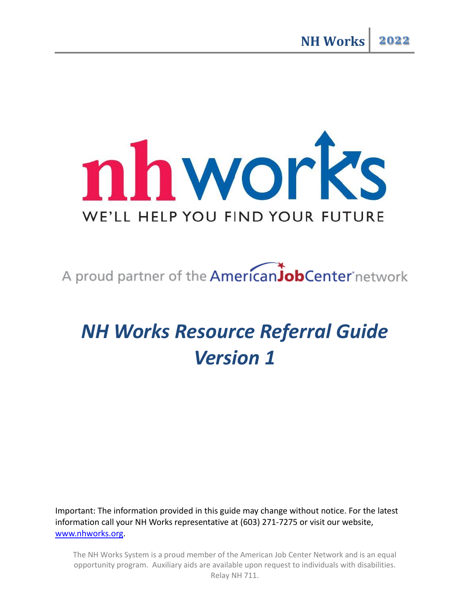

A proud partner of the **AmericanJobCenter** network

# *NH Works Resource Referral Guide Version 1*

Important: The information provided in this guide may change without notice. For the latest information call your NH Works representative at (603) 271-7275 or visit our website, [www.nhworks.org.](http://www.nhworks.org/)

The NH Works System is a proud member of the American Job Center Network and is an equal opportunity program. Auxiliary aids are available upon request to individuals with disabilities. Relay NH 711.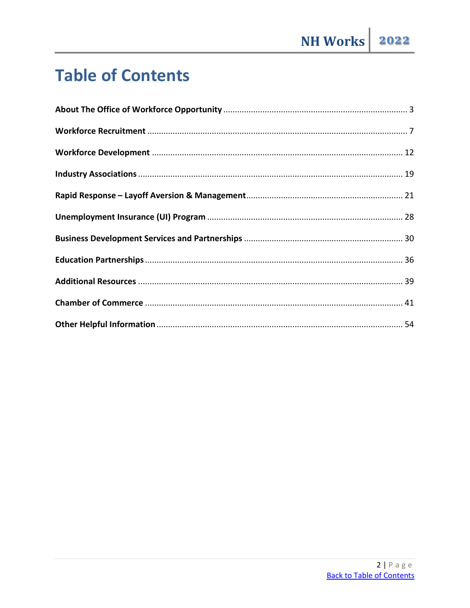# <span id="page-1-0"></span>**Table of Contents**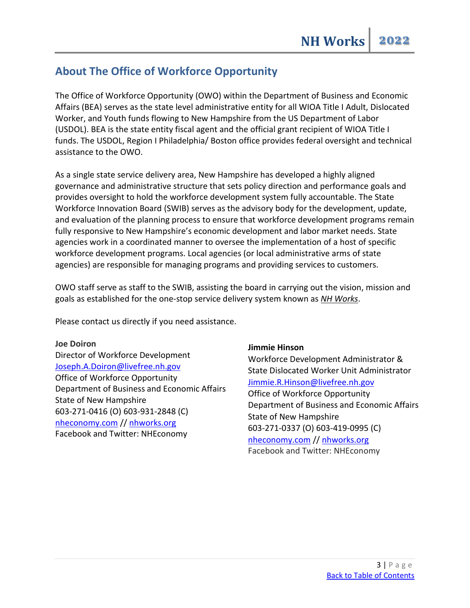# <span id="page-2-0"></span>**About The Office of Workforce Opportunity**

The Office of Workforce Opportunity (OWO) within the Department of Business and Economic Affairs (BEA) serves as the state level administrative entity for all WIOA Title I Adult, Dislocated Worker, and Youth funds flowing to New Hampshire from the US Department of Labor (USDOL). BEA is the state entity fiscal agent and the official grant recipient of WIOA Title I funds. The USDOL, Region I Philadelphia/ Boston office provides federal oversight and technical assistance to the OWO.

As a single state service delivery area, New Hampshire has developed a highly aligned governance and administrative structure that sets policy direction and performance goals and provides oversight to hold the workforce development system fully accountable. The State Workforce Innovation Board (SWIB) serves as the advisory body for the development, update, and evaluation of the planning process to ensure that workforce development programs remain fully responsive to New Hampshire's economic development and labor market needs. State agencies work in a coordinated manner to oversee the implementation of a host of specific workforce development programs. Local agencies (or local administrative arms of state agencies) are responsible for managing programs and providing services to customers.

OWO staff serve as staff to the SWIB, assisting the board in carrying out the vision, mission and goals as established for the one-stop service delivery system known as *NH Works*.

Please contact us directly if you need assistance.

#### **Joe Doiron**

Director of Workforce Development [Joseph.A.Doiron@livefree.nh.gov](mailto:Joseph.A.Doiron@livefree.nh.gov) Office of Workforce Opportunity Department of Business and Economic Affairs State of New Hampshire 603-271-0416 (O) 603-931-2848 (C) [nheconomy.com](https://www.nheconomy.com/) // [nhworks.org](https://www.nhworks.org/) Facebook and Twitter: NHEconomy

#### **Jimmie Hinson**

Workforce Development Administrator & State Dislocated Worker Unit Administrator [Jimmie.R.Hinson@livefree.nh.gov](mailto:Jimmie.R.Hinson@livefree.nh.gov) Office of Workforce Opportunity Department of Business and Economic Affairs State of New Hampshire 603-271-0337 (O) 603-419-0995 (C) [nheconomy.com](https://www.nheconomy.com/) // [nhworks.org](https://www.nhworks.org/) Facebook and Twitter: NHEconomy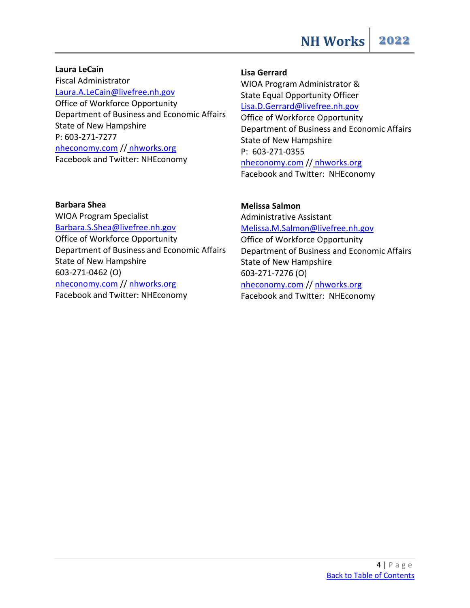**Laura LeCain** Fiscal Administrator [Laura.A.LeCain@livefree.nh.gov](mailto:Laura.A.LeCain@livefree.nh.gov) Office of Workforce Opportunity Department of Business and Economic Affairs State of New Hampshire P: 603-271-7277 [nheconomy.com](https://www.nheconomy.com/) // [nhworks.org](https://www.nhworks.org/) Facebook and Twitter: NHEconomy

#### **Lisa Gerrard**

WIOA Program Administrator & State Equal Opportunity Officer [Lisa.D.Gerrard@livefree.nh.gov](mailto:Lisa.D.Gerrard@livefree.nh.gov) Office of Workforce Opportunity Department of Business and Economic Affairs State of New Hampshire P: 603-271-0355 [nheconomy.com](https://www.nheconomy.com/) // [nhworks.org](https://www.nhworks.org/) Facebook and Twitter: NHEconomy

#### **Barbara Shea**

WIOA Program Specialist [Barbara.S.Shea@livefree.nh.gov](mailto:Barbara.S.Shea@livefree.nh.gov) Office of Workforce Opportunity Department of Business and Economic Affairs State of New Hampshire 603-271-0462 (O) [nheconomy.com](https://www.nheconomy.com/) // [nhworks.org](https://www.nhworks.org/) Facebook and Twitter: NHEconomy

#### **Melissa Salmon**

Administrative Assistant [Melissa.M.Salmon@livefree.nh.gov](mailto:Melissa.M.Salmon@livefree.nh.gov) Office of Workforce Opportunity Department of Business and Economic Affairs State of New Hampshire 603-271-7276 (O) [nheconomy.com](https://www.nheconomy.com/) // [nhworks.org](https://www.nhworks.org/) Facebook and Twitter: NHEconomy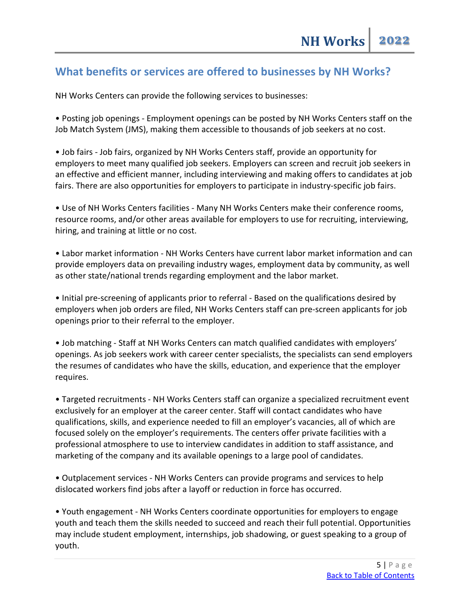# **What benefits or services are offered to businesses by NH Works?**

NH Works Centers can provide the following services to businesses:

• Posting job openings - Employment openings can be posted by NH Works Centers staff on the Job Match System (JMS), making them accessible to thousands of job seekers at no cost.

• Job fairs - Job fairs, organized by NH Works Centers staff, provide an opportunity for employers to meet many qualified job seekers. Employers can screen and recruit job seekers in an effective and efficient manner, including interviewing and making offers to candidates at job fairs. There are also opportunities for employers to participate in industry-specific job fairs.

• Use of NH Works Centers facilities - Many NH Works Centers make their conference rooms, resource rooms, and/or other areas available for employers to use for recruiting, interviewing, hiring, and training at little or no cost.

• Labor market information - NH Works Centers have current labor market information and can provide employers data on prevailing industry wages, employment data by community, as well as other state/national trends regarding employment and the labor market.

• Initial pre-screening of applicants prior to referral - Based on the qualifications desired by employers when job orders are filed, NH Works Centers staff can pre-screen applicants for job openings prior to their referral to the employer.

• Job matching - Staff at NH Works Centers can match qualified candidates with employers' openings. As job seekers work with career center specialists, the specialists can send employers the resumes of candidates who have the skills, education, and experience that the employer requires.

• Targeted recruitments - NH Works Centers staff can organize a specialized recruitment event exclusively for an employer at the career center. Staff will contact candidates who have qualifications, skills, and experience needed to fill an employer's vacancies, all of which are focused solely on the employer's requirements. The centers offer private facilities with a professional atmosphere to use to interview candidates in addition to staff assistance, and marketing of the company and its available openings to a large pool of candidates.

• Outplacement services - NH Works Centers can provide programs and services to help dislocated workers find jobs after a layoff or reduction in force has occurred.

• Youth engagement - NH Works Centers coordinate opportunities for employers to engage youth and teach them the skills needed to succeed and reach their full potential. Opportunities may include student employment, internships, job shadowing, or guest speaking to a group of youth.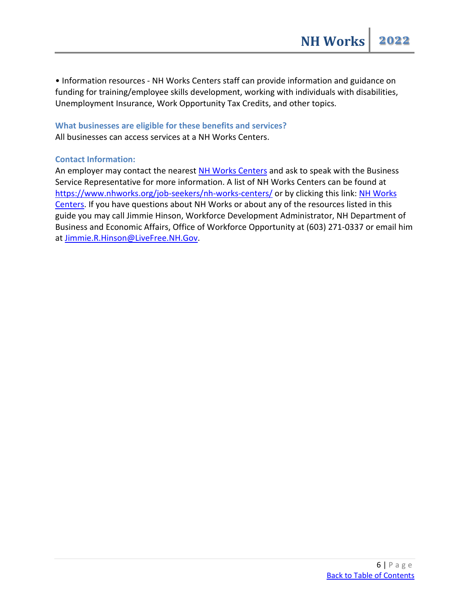• Information resources - NH Works Centers staff can provide information and guidance on funding for training/employee skills development, working with individuals with disabilities, Unemployment Insurance, Work Opportunity Tax Credits, and other topics.

**What businesses are eligible for these benefits and services?**  All businesses can access services at a NH Works Centers.

#### **Contact Information:**

An employer may contact the nearest [NH Works Centers](https://www.nhworks.org/job-seekers/nh-works-centers/) and ask to speak with the Business Service Representative for more information. A list of NH Works Centers can be found at <https://www.nhworks.org/job-seekers/nh-works-centers/> or by clicking this link: NH Works [Centers.](https://www.nhworks.org/job-seekers/nh-works-centers/) If you have questions about NH Works or about any of the resources listed in this guide you may call Jimmie Hinson, Workforce Development Administrator, NH Department of Business and Economic Affairs, Office of Workforce Opportunity at (603) 271-0337 or email him at [Jimmie.R.Hinson@LiveFree.NH.Gov.](mailto:Jimmie.R.Hinson@LiveFree.NH.Gov)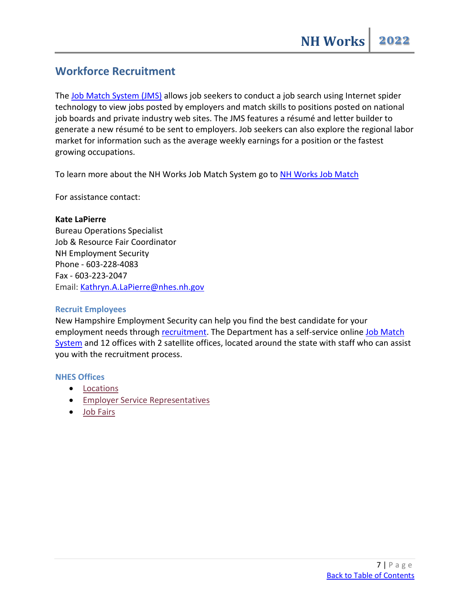## <span id="page-6-0"></span>**Workforce Recruitment**

The [Job Match System \(JMS\)](https://nhworksjobmatch.nhes.nh.gov/vosnet/Default.aspx) allows job seekers to conduct a job search using Internet spider technology to view jobs posted by employers and match skills to positions posted on national job boards and private industry web sites. The JMS features a résumé and letter builder to generate a new résumé to be sent to employers. Job seekers can also explore the regional labor market for information such as the average weekly earnings for a position or the fastest growing occupations.

To learn more about the NH [Works Job Match](https://nhworksjobmatch.nhes.nh.gov/vosnet/Default.aspx) System go to NH Works Job Match

For assistance contact:

#### **Kate LaPierre**

Bureau Operations Specialist Job & Resource Fair Coordinator NH Employment Security Phone - 603-228-4083 Fax - 603-223-2047 Email: [Kathryn.A.LaPierre@nhes.nh.gov](mailto:Kathryn.A.LaPierre@nhes.nh.gov)

#### **Recruit Employees**

New Hampshire Employment Security can help you find the best candidate for your employment needs throug[h recruitment.](https://www.nhes.nh.gov/services/employers/recruit.htm) The Department has a self-service online Job Match [System](https://nhworksjobmatch.nhes.nh.gov/) and 12 offices with 2 satellite offices, located around the state with staff who can assist you with the recruitment process.

#### **NHES Offices**

- [Locations](https://www.nhes.nh.gov/locations/index.htm)
- [Employer Service Representatives](https://www.nhes.nh.gov/services/employers/service-reps.htm)
- [Job Fairs](https://www.nhes.nh.gov/media/job-fairs/index.htm)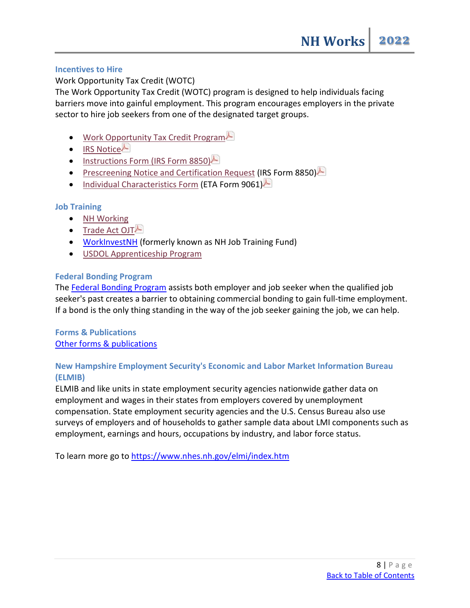#### **Incentives to Hire**

Work Opportunity Tax Credit (WOTC)

The Work Opportunity Tax Credit (WOTC) program is designed to help individuals facing barriers move into gainful employment. This program encourages employers in the private sector to hire job seekers from one of the designated target groups.

- [Work Opportunity Tax Credit Program](https://www.nhes.nh.gov/forms/documents/des-805-2102.pdf)
- [IRS Notice](https://www.nhes.nh.gov/forms/documents/irs-notice.pdf)
- [Instructions Form \(IRS Form 8850\)](https://www.nhes.nh.gov/forms/documents/instr8850.pdf)
- [Prescreening Notice and Certification Request](https://www.nhes.nh.gov/forms/documents/wotc-form-8850.pdf) (IRS Form 8850)
- [Individual Characteristics Form](https://www.nhes.nh.gov/forms/documents/eta-form-9061.pdf) (ETA Form 9061)

#### **Job Training**

- [NH Working](https://www.nhes.nh.gov/nhworking/index.htm)
- [Trade Act OJT](https://www.nhes.nh.gov/services/employers/documents/taaojt-brochure.pdf) $\blacktriangle$
- [WorkInvestNH](https://www.nhes.nh.gov/services/employers/work-invest-nh.htm) (formerly known as NH Job Training Fund)
- [USDOL Apprenticeship Program](https://www.dol.gov/apprenticeship/)

#### **Federal Bonding Program**

The [Federal Bonding Program](https://www.nhes.nh.gov/services/employers/federal-bonding.htm) assists both employer and job seeker when the qualified job seeker's past creates a barrier to obtaining commercial bonding to gain full-time employment. If a bond is the only thing standing in the way of the job seeker gaining the job, we can help.

#### **Forms & Publications** [Other forms & publications](https://www.nhes.nh.gov/forms/employers.htm#recruit)

#### **New Hampshire Employment Security's Economic and Labor Market Information Bureau (ELMIB)**

ELMIB and like units in state employment security agencies nationwide gather data on employment and wages in their states from employers covered by unemployment compensation. State employment security agencies and the U.S. Census Bureau also use surveys of employers and of households to gather sample data about LMI components such as employment, earnings and hours, occupations by industry, and labor force status.

To learn more go to<https://www.nhes.nh.gov/elmi/index.htm>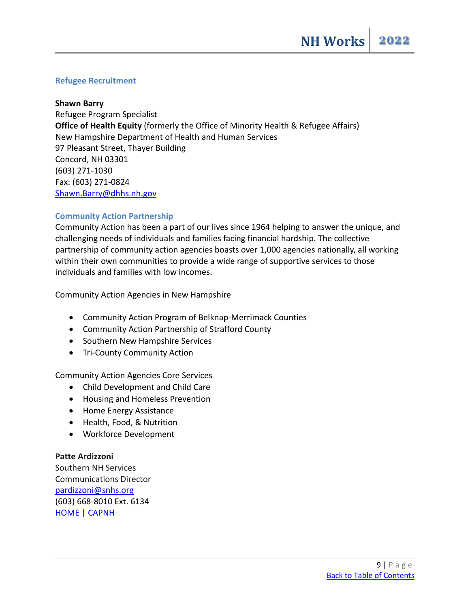#### **Refugee Recruitment**

#### **Shawn Barry**

Refugee Program Specialist **Office of Health Equity** (formerly the Office of Minority Health & Refugee Affairs) New Hampshire Department of Health and Human Services 97 Pleasant Street, Thayer Building Concord, NH 03301 (603) 271-1030 Fax: (603) 271-0824 [Shawn.Barry@dhhs.nh.gov](mailto:Shawn.Barry@dhhs.nh.gov)

#### **Community Action Partnership**

Community Action has been a part of our lives since 1964 helping to answer the unique, and challenging needs of individuals and families facing financial hardship. The collective partnership of community action agencies boasts over 1,000 agencies nationally, all working within their own communities to provide a wide range of supportive services to those individuals and families with low incomes.

Community Action Agencies in New Hampshire

- Community Action Program of Belknap-Merrimack Counties
- Community Action Partnership of Strafford County
- Southern New Hampshire Services
- Tri-County Community Action

Community Action Agencies Core Services

- Child Development and Child Care
- Housing and Homeless Prevention
- Home Energy Assistance
- Health, Food, & Nutrition
- Workforce Development

#### **Patte Ardizzoni**

Southern NH Services Communications Director [pardizzoni@snhs.org](mailto:pardizzoni@snhs.org) (603) 668-8010 Ext. 6134 [HOME | CAPNH](https://www.capnh.org/home)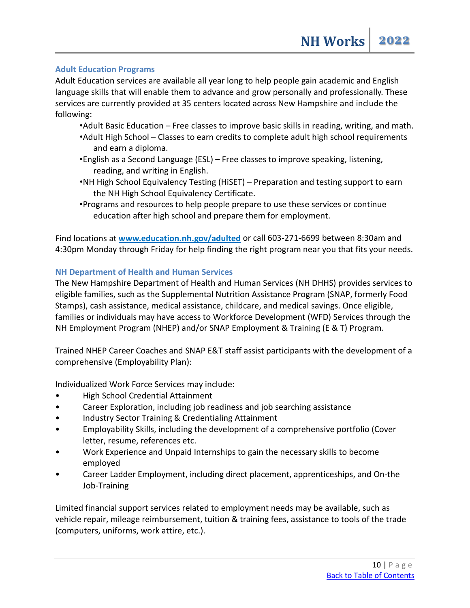#### **Adult Education Programs**

Adult Education services are available all year long to help people gain academic and English language skills that will enable them to advance and grow personally and professionally. These services are currently provided at 35 centers located across New Hampshire and include the following:

- •Adult Basic Education Free classes to improve basic skills in reading, writing, and math.
- •Adult High School Classes to earn credits to complete adult high school requirements and earn a diploma.
- •English as a Second Language (ESL) Free classes to improve speaking, listening, reading, and writing in English.
- •NH High School Equivalency Testing (HiSET) Preparation and testing support to earn the NH High School Equivalency Certificate.
- •Programs and resources to help people prepare to use these services or continue education after high school and prepare them for employment.

Find locations at **[www.education.nh.gov/adulted](https://www.education.nh.gov/adulted)** or call 603-271-6699 between 8:30am and 4:30pm Monday through Friday for help finding the right program near you that fits your needs.

#### **NH Department of Health and Human Services**

The New Hampshire Department of Health and Human Services (NH DHHS) provides services to eligible families, such as the Supplemental Nutrition Assistance Program (SNAP, formerly Food Stamps), cash assistance, medical assistance, childcare, and medical savings. Once eligible, families or individuals may have access to Workforce Development (WFD) Services through the NH Employment Program (NHEP) and/or SNAP Employment & Training (E & T) Program.

Trained NHEP Career Coaches and SNAP E&T staff assist participants with the development of a comprehensive (Employability Plan):

Individualized Work Force Services may include:

- High School Credential Attainment
- Career Exploration, including job readiness and job searching assistance
- Industry Sector Training & Credentialing Attainment
- Employability Skills, including the development of a comprehensive portfolio (Cover letter, resume, references etc.
- Work Experience and Unpaid Internships to gain the necessary skills to become employed
- Career Ladder Employment, including direct placement, apprenticeships, and On-the Job-Training

Limited financial support services related to employment needs may be available, such as vehicle repair, mileage reimbursement, tuition & training fees, assistance to tools of the trade (computers, uniforms, work attire, etc.).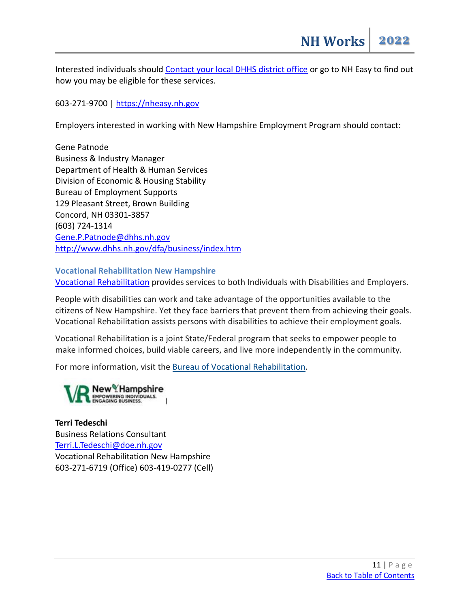Interested individuals should [Contact your local DHHS district office](https://www.dhhs.nh.gov/contactus/districtoffices.htm) or go to NH Easy to find out how you may be eligible for these services.

#### 603-271-9700 | [https://nheasy.nh.gov](https://nheasy.nh.gov/)

Employers interested in working with New Hampshire Employment Program should contact:

Gene Patnode Business & Industry Manager Department of Health & Human Services Division of Economic & Housing Stability Bureau of Employment Supports 129 Pleasant Street, Brown Building Concord, NH 03301-3857 (603) 724-1314 [Gene.P.Patnode@dhhs.nh.gov](mailto:Gene.P.Patnode@dhhs.nh.gov) <http://www.dhhs.nh.gov/dfa/business/index.htm>

**Vocational Rehabilitation New Hampshire** [Vocational Rehabilitation](https://www.education.nh.gov/partners/vocational-rehabilitation) provides services to both Individuals with Disabilities and Employers.

People with disabilities can work and take advantage of the opportunities available to the citizens of New Hampshire. Yet they face barriers that prevent them from achieving their goals. Vocational Rehabilitation assists persons with disabilities to achieve their employment goals.

Vocational Rehabilitation is a joint State/Federal program that seeks to empower people to make informed choices, build viable careers, and live more independently in the community.

For more information, visit the [Bureau of Vocational Rehabilitation.](https://www.education.nh.gov/who-we-are/deputy-commissioner/bureau-of-vocational-rehabilitation)



**Terri Tedeschi** Business Relations Consultant [Terri.L.Tedeschi@doe.nh.gov](mailto:Terri.tedeschi@doe.nh.gov) Vocational Rehabilitation New Hampshire 603-271-6719 (Office) 603-419-0277 (Cell)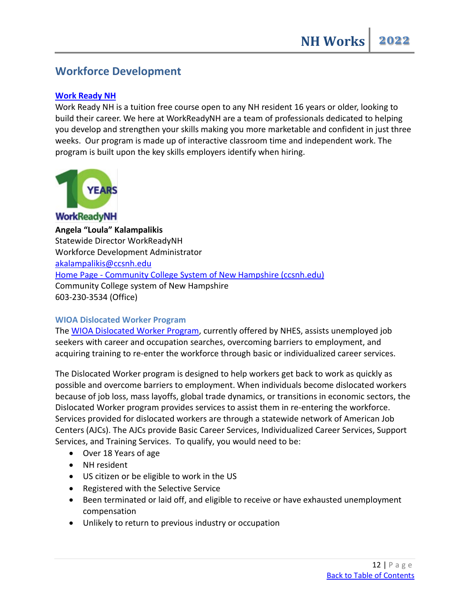## <span id="page-11-0"></span>**Workforce Development**

#### **[Work Ready NH](https://www.ccsnh.edu/colleges-and-programs/workready-nh/)**

Work Ready NH is a tuition free course open to any NH resident 16 years or older, looking to build their career. We here at WorkReadyNH are a team of professionals dedicated to helping you develop and strengthen your skills making you more marketable and confident in just three weeks. Our program is made up of interactive classroom time and independent work. The program is built upon the key skills employers identify when hiring.



#### **WorkReadyNH**

**Angela "Loula" Kalampalikis** Statewide Director WorkReadyNH Workforce Development Administrator [akalampalikis@ccsnh.edu](mailto:akalampalikis@ccsnh.edu) Home Page - [Community College System of New Hampshire \(ccsnh.edu\)](https://www.ccsnh.edu/) Community College system of New Hampshire 603-230-3534 (Office)

#### **WIOA Dislocated Worker Program**

The [WIOA Dislocated Worker Program,](https://www.nhes.nh.gov/services/job-seekers/dislocated-worker.htm) currently offered by NHES, assists unemployed job seekers with career and occupation searches, overcoming barriers to employment, and acquiring training to re-enter the workforce through basic or individualized career services.

The Dislocated Worker program is designed to help workers get back to work as quickly as possible and overcome barriers to employment. When individuals become dislocated workers because of job loss, mass layoffs, global trade dynamics, or transitions in economic sectors, the Dislocated Worker program provides services to assist them in re-entering the workforce. Services provided for dislocated workers are through a statewide network of American Job Centers (AJCs). The AJCs provide Basic Career Services, Individualized Career Services, Support Services, and Training Services. To qualify, you would need to be:

- Over 18 Years of age
- NH resident
- US citizen or be eligible to work in the US
- Registered with the Selective Service
- Been terminated or laid off, and eligible to receive or have exhausted unemployment compensation
- Unlikely to return to previous industry or occupation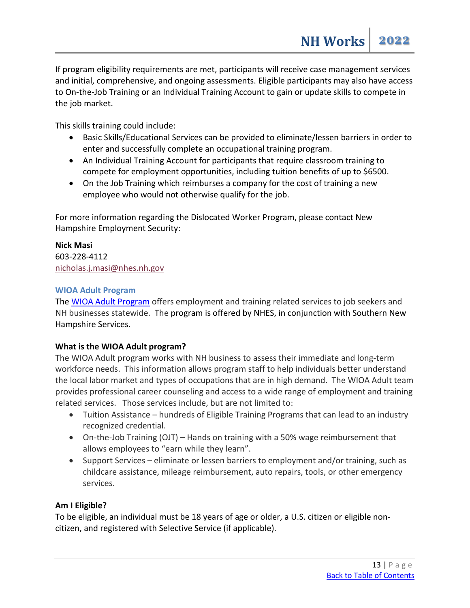If program eligibility requirements are met, participants will receive case management services and initial, comprehensive, and ongoing assessments. Eligible participants may also have access to On-the-Job Training or an Individual Training Account to gain or update skills to compete in the job market.

This skills training could include:

- Basic Skills/Educational Services can be provided to eliminate/lessen barriers in order to enter and successfully complete an occupational training program.
- An Individual Training Account for participants that require classroom training to compete for employment opportunities, including tuition benefits of up to \$6500.
- On the Job Training which reimburses a company for the cost of training a new employee who would not otherwise qualify for the job.

For more information regarding the Dislocated Worker Program, please contact New Hampshire Employment Security:

#### **Nick Masi** 603-228-4112 [nicholas.j.masi@nhes.nh.gov](mailto:nicholas.j.masi@nhes.nh.gov)

#### **WIOA Adult Program**

The [WIOA Adult Program](https://www.nhes.nh.gov/services/job-seekers/wioa-adult-worker.htm) offers employment and training related services to job seekers and NH businesses statewide. The program is offered by NHES, in conjunction with Southern New Hampshire Services.

#### **What is the WIOA Adult program?**

The WIOA Adult program works with NH business to assess their immediate and long-term workforce needs. This information allows program staff to help individuals better understand the local labor market and types of occupations that are in high demand. The WIOA Adult team provides professional career counseling and access to a wide range of employment and training related services. Those services include, but are not limited to:

- Tuition Assistance hundreds of Eligible Training Programs that can lead to an industry recognized credential.
- On-the-Job Training (OJT) Hands on training with a 50% wage reimbursement that allows employees to "earn while they learn".
- Support Services eliminate or lessen barriers to employment and/or training, such as childcare assistance, mileage reimbursement, auto repairs, tools, or other emergency services.

#### **Am I Eligible?**

To be eligible, an individual must be 18 years of age or older, a U.S. citizen or eligible noncitizen, and registered with Selective Service (if applicable).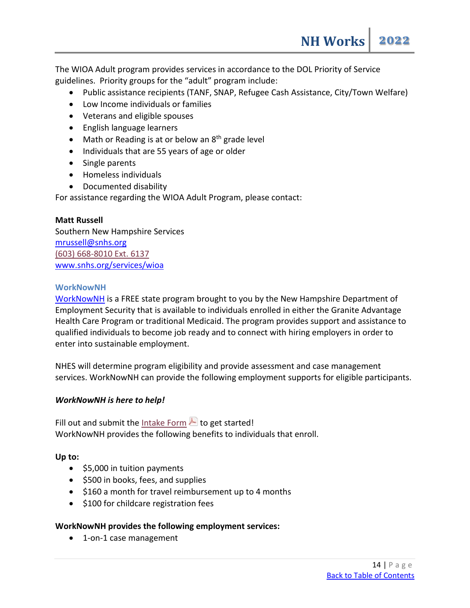- Public assistance recipients (TANF, SNAP, Refugee Cash Assistance, City/Town Welfare)
- Low Income individuals or families
- Veterans and eligible spouses
- English language learners
- Math or Reading is at or below an 8<sup>th</sup> grade level
- Individuals that are 55 years of age or older
- Single parents
- Homeless individuals
- Documented disability

For assistance regarding the WIOA Adult Program, please contact:

#### **[Matt Russell](mailto:mrussell@snhs.org)**

Southern New Hampshire Services [mrussell@snhs.org](mailto:mrussell@snhs.org) (603) 668-8010 Ext. 6137 [www.snhs.org/services/wioa](http://www.snhs.org/services/wioa)

#### **WorkNowNH**

[WorkNowNH](https://www.nhes.nh.gov/services/job-seekers/work-now-nh.htm) is a FREE state program brought to you by the New Hampshire Department of Employment Security that is available to individuals enrolled in either the Granite Advantage Health Care Program or traditional Medicaid. The program provides support and assistance to qualified individuals to become job ready and to connect with hiring employers in order to enter into sustainable employment.

NHES will determine program eligibility and provide assessment and case management services. WorkNowNH can provide the following employment supports for eligible participants.

#### *WorkNowNH is here to help!*

Fill out and submit the [Intake Form](https://www.nhes.nh.gov/services/job-seekers/documents/nhes0353-wnnh-intake-form.pdf)  $\blacktriangle$  to get started! WorkNowNH provides the following benefits to individuals that enroll.

#### **Up to:**

- \$5,000 in tuition payments
- \$500 in books, fees, and supplies
- \$160 a month for travel reimbursement up to 4 months
- \$100 for childcare registration fees

#### **WorkNowNH provides the following employment services:**

• 1-on-1 case management

**NH Works 2022**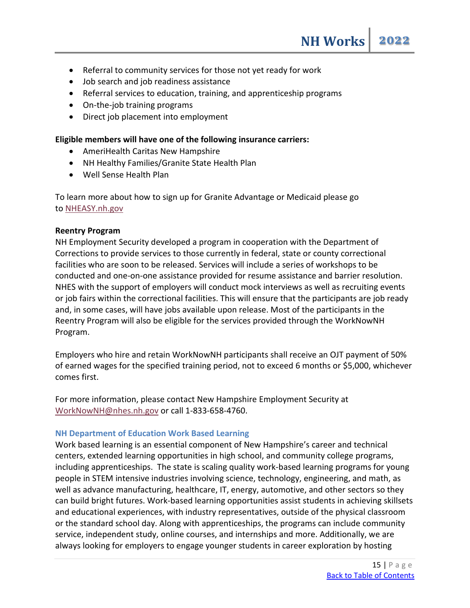- Referral to community services for those not yet ready for work
- Job search and job readiness assistance
- Referral services to education, training, and apprenticeship programs
- On-the-job training programs
- Direct job placement into employment

#### **Eligible members will have one of the following insurance carriers:**

- AmeriHealth Caritas New Hampshire
- NH Healthy Families/Granite State Health Plan
- Well Sense Health Plan

To learn more about how to sign up for Granite Advantage or Medicaid please go to [NHEASY.nh.gov](https://www.dhhs.nh.gov/dfa/nheasy.htm)

#### **Reentry Program**

NH Employment Security developed a program in cooperation with the Department of Corrections to provide services to those currently in federal, state or county correctional facilities who are soon to be released. Services will include a series of workshops to be conducted and one-on-one assistance provided for resume assistance and barrier resolution. NHES with the support of employers will conduct mock interviews as well as recruiting events or job fairs within the correctional facilities. This will ensure that the participants are job ready and, in some cases, will have jobs available upon release. Most of the participants in the Reentry Program will also be eligible for the services provided through the WorkNowNH Program.

Employers who hire and retain WorkNowNH participants shall receive an OJT payment of 50% of earned wages for the specified training period, not to exceed 6 months or \$5,000, whichever comes first.

For more information, please contact New Hampshire Employment Security at [WorkNowNH@nhes.nh.gov](mailto:WorkNowNH@nhes.nh.gov) or call 1-833-658-4760.

#### **NH Department of Education Work Based Learning**

Work based learning is an essential component of New Hampshire's career and technical centers, extended learning opportunities in high school, and community college programs, including apprenticeships. The state is scaling quality work-based learning programs for young people in STEM intensive industries involving science, technology, engineering, and math, as well as advance manufacturing, healthcare, IT, energy, automotive, and other sectors so they can build bright futures. Work-based learning opportunities assist students in achieving skillsets and educational experiences, with industry representatives, outside of the physical classroom or the standard school day. Along with apprenticeships, the programs can include community service, independent study, online courses, and internships and more. Additionally, we are always looking for employers to engage younger students in career exploration by hosting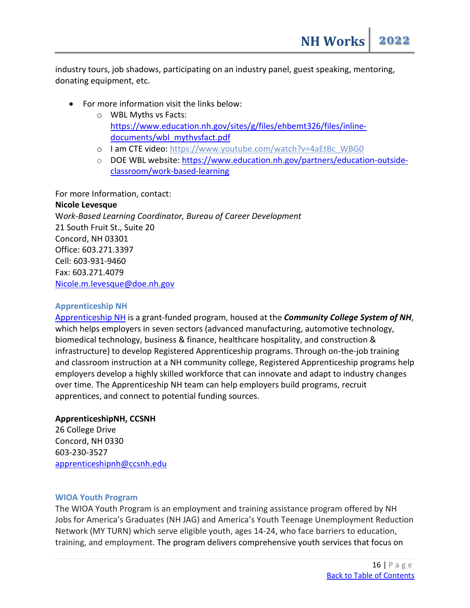industry tours, job shadows, participating on an industry panel, guest speaking, mentoring, donating equipment, etc.

- For more information visit the links below:
	- o WBL Myths vs Facts: [https://www.education.nh.gov/sites/g/files/ehbemt326/files/inline](https://www.education.nh.gov/sites/g/files/ehbemt326/files/inline-documents/wbl_mythvsfact.pdf)[documents/wbl\\_mythvsfact.pdf](https://www.education.nh.gov/sites/g/files/ehbemt326/files/inline-documents/wbl_mythvsfact.pdf)
	- o I am CTE video: [https://www.youtube.com/watch?v=4aEtBc\\_WBG0](https://www.youtube.com/watch?v=4aEtBc_WBG0)
	- o DOE WBL website: [https://www.education.nh.gov/partners/education-outside](https://www.education.nh.gov/partners/education-outside-classroom/work-based-learning)[classroom/work-based-learning](https://www.education.nh.gov/partners/education-outside-classroom/work-based-learning)

For more Information, contact:

#### **Nicole Levesque**

W*ork-Based Learning Coordinator, Bureau of Career Development* 21 South Fruit St., Suite 20 Concord, NH 03301 Office: 603.271.3397 Cell: 603-931-9460 Fax: 603.271.4079 [Nicole.m.levesque@doe.nh.gov](mailto:Nicole.m.levesque@doe.nh.gov)

#### **Apprenticeship NH**

[Apprenticeship NH](https://apprenticeshipnh.com/) is a grant-funded program, housed at the *Community College System of NH*, which helps employers in seven sectors (advanced manufacturing, automotive technology, biomedical technology, business & finance, healthcare hospitality, and construction & infrastructure) to develop Registered Apprenticeship programs. Through on-the-job training and classroom instruction at a NH community college, Registered Apprenticeship programs help employers develop a highly skilled workforce that can innovate and adapt to industry changes over time. The Apprenticeship NH team can help employers build programs, recruit apprentices, and connect to potential funding sources.

#### **ApprenticeshipNH, CCSNH**

26 College Drive Concord, NH 0330 [603-230-3527](tel:603-230-3526) [apprenticeshipnh@ccsnh.edu](mailto:apprenticeshipnh@ccsnh.edu)

#### **WIOA Youth Program**

The WIOA Youth Program is an employment and training assistance program offered by NH Jobs for America's Graduates (NH JAG) and America's Youth Teenage Unemployment Reduction Network (MY TURN) which serve eligible youth, ages 14-24, who face barriers to education, training, and employment. The program delivers comprehensive youth services that focus on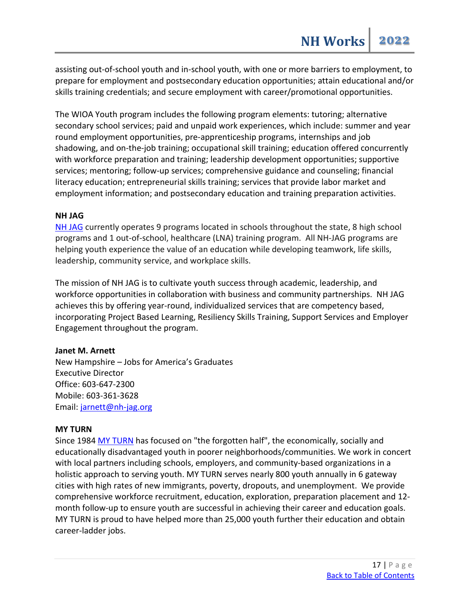assisting out-of-school youth and in-school youth, with one or more barriers to employment, to prepare for employment and postsecondary education opportunities; attain educational and/or skills training credentials; and secure employment with career/promotional opportunities.

The WIOA Youth program includes the following program elements: tutoring; alternative secondary school services; paid and unpaid work experiences, which include: summer and year round employment opportunities, pre-apprenticeship programs, internships and job shadowing, and on-the-job training; occupational skill training; education offered concurrently with workforce preparation and training; leadership development opportunities; supportive services; mentoring; follow-up services; comprehensive guidance and counseling; financial literacy education; entrepreneurial skills training; services that provide labor market and employment information; and postsecondary education and training preparation activities.

#### **NH JAG**

[NH JAG](https://www.nh-jag.org/) currently operates 9 programs located in schools throughout the state, 8 high school programs and 1 out-of-school, healthcare (LNA) training program. All NH-JAG programs are helping youth experience the value of an education while developing teamwork, life skills, leadership, community service, and workplace skills.

The mission of NH JAG is to cultivate youth success through academic, leadership, and workforce opportunities in collaboration with business and community partnerships. NH JAG achieves this by offering year-round, individualized services that are competency based, incorporating Project Based Learning, Resiliency Skills Training, Support Services and Employer Engagement throughout the program.

#### **Janet M. Arnett**

New Hampshire – Jobs for America's Graduates Executive Director Office: 603-647-2300 Mobile: 603-361-3628 Email: [jarnett@nh-jag.org](mailto:jarnett@nh-jag.org)

#### **MY TURN**

Since 1984 [MY TURN](https://www.my-turn.org/) has focused on "the forgotten half", the economically, socially and educationally disadvantaged youth in poorer neighborhoods/communities. We work in concert with local partners including schools, employers, and community-based organizations in a holistic approach to serving youth. MY TURN serves nearly 800 youth annually in 6 gateway cities with high rates of new immigrants, poverty, dropouts, and unemployment. We provide comprehensive workforce recruitment, education, exploration, preparation placement and 12 month follow-up to ensure youth are successful in achieving their career and education goals. MY TURN is proud to have helped more than 25,000 youth further their education and obtain career-ladder jobs.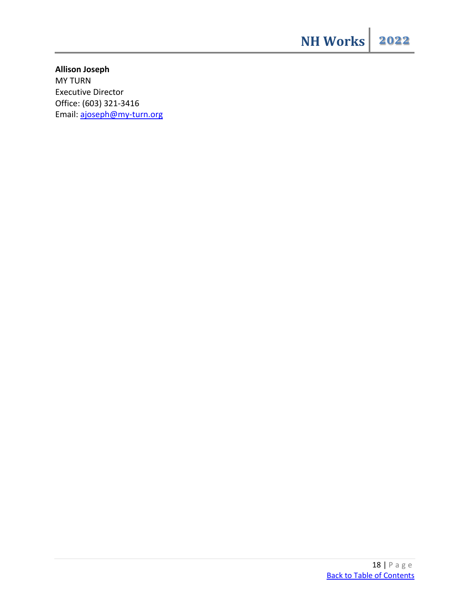**Allison Joseph** MY TURN Executive Director Office: (603) 321-3416 Email: [ajoseph@my-turn.org](mailto:ajoseph@my-turn.org)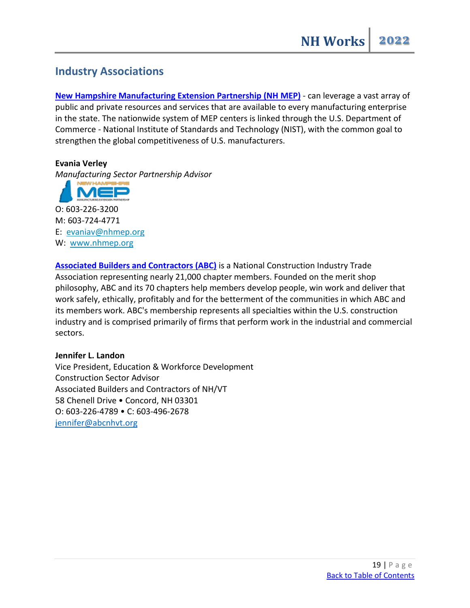# <span id="page-18-0"></span>**Industry Associations**

**[New Hampshire Manufacturing Extension Partnership \(NH MEP\)](https://www.nhmep.org/)** - can leverage a vast array of public and private resources and services that are available to every manufacturing enterprise in the state. The nationwide system of MEP centers is linked through the U.S. Department of Commerce - National Institute of Standards and Technology (NIST), with the common goal to strengthen the global competitiveness of U.S. manufacturers.

#### **Evania Verley**

*Manufacturing Sector Partnership Advisor*

O: 603-226-3200 M: 603-724-4771 E: [evaniav@nhmep.org](mailto:evaniav@nhmep.org) W: [www.nhmep.org](https://urldefense.com/v3/__http:/www.nhmep.org__;!!Oai6dtTQULp8Sw!H86MexAt0EsReehSiHKv0Qi2IAfF39XGKcwvv8AA3FT8KLzKN8MuffBKHHUcC4xGegXyoGu2Ycg$)

**[Associated Builders and Contractors \(ABC\)](https://www.abcnhvt.org/)** is a National Construction Industry Trade Association representing nearly 21,000 chapter members. Founded on the merit shop philosophy, ABC and its 70 chapters help members develop people, win work and deliver that work safely, ethically, profitably and for the betterment of the communities in which ABC and its members work. ABC's membership represents all specialties within the U.S. construction industry and is comprised primarily of firms that perform work in the industrial and commercial sectors.

#### **Jennifer L. Landon**

Vice President, Education & Workforce Development Construction Sector Advisor Associated Builders and Contractors of NH/VT 58 Chenell Drive • Concord, NH 03301 O: 603-226-4789 • C: 603-496-2678 [jennifer@abcnhvt.org](mailto:jennifer@abcnhvt.org)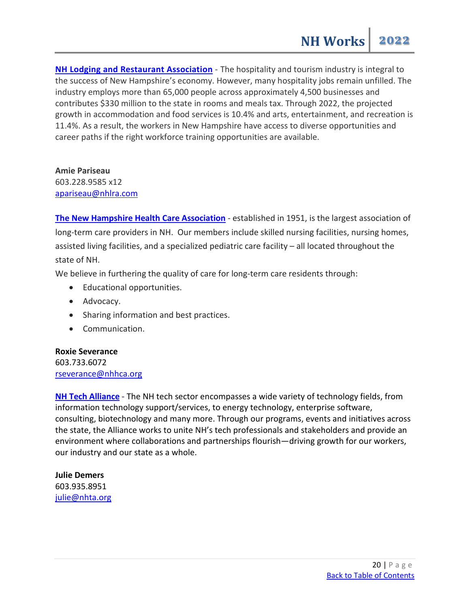**[NH Lodging and Restaurant Association](https://www.nhlra.com/)** - The hospitality and tourism industry is integral to the success of New Hampshire's economy. However, many hospitality jobs remain unfilled. The industry employs more than 65,000 people across approximately 4,500 businesses and contributes \$330 million to the state in rooms and meals tax. Through 2022, the projected growth in accommodation and food services is 10.4% and arts, entertainment, and recreation is 11.4%. As a result, the workers in New Hampshire have access to diverse opportunities and career paths if the right workforce training opportunities are available.

**Amie Pariseau** 603.228.9585 x12 [apariseau@nhlra.com](mailto:apariseau@nhlra.com)

**[The New Hampshire Health Care Association](https://www.nhhca.org/)** - established in 1951, is the largest association of long-term care providers in NH. Our members include skilled nursing facilities, nursing homes, assisted living facilities, and a specialized pediatric care facility – all located throughout the state of NH.

We believe in furthering the quality of care for long-term care residents through:

- Educational opportunities.
- Advocacy.
- Sharing information and best practices.
- Communication.

#### **Roxie Severance** 603.733.6072

[rseverance@nhhca.org](mailto:rseverance@nhhca.org)

**[NH Tech Alliance](https://nhtechalliance.org/)** - The NH tech sector encompasses a wide variety of technology fields, from information technology support/services, to energy technology, enterprise software, consulting, biotechnology and many more. Through our programs, events and initiatives across the state, the Alliance works to unite NH's tech professionals and stakeholders and provide an environment where collaborations and partnerships flourish—driving growth for our workers, our industry and our state as a whole.

**Julie Demers** 603.935.8951 [julie@nhta.org](mailto:julie@nhta.org)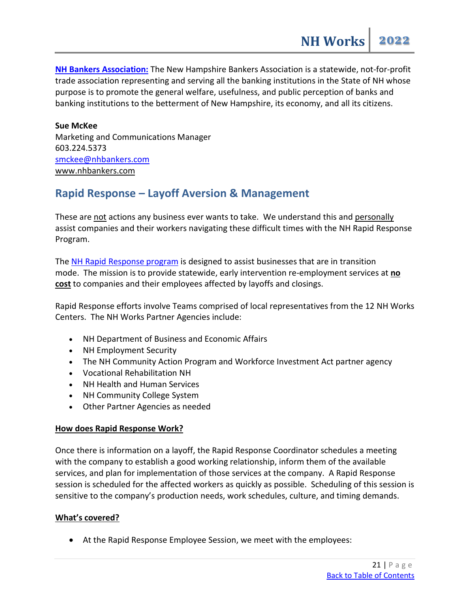**[NH Bankers Association:](https://www.nhbankers.com/)** The New Hampshire Bankers Association is a statewide, not-for-profit trade association representing and serving all the banking institutions in the State of NH whose purpose is to promote the general welfare, usefulness, and public perception of banks and banking institutions to the betterment of New Hampshire, its economy, and all its citizens.

**Sue McKee** Marketing and Communications Manager 603.224.5373 [smckee@nhbankers.com](mailto:smckee@nhbankers.com) [www.nhbankers.com](https://urldefense.com/v3/__https:/nam12.safelinks.protection.outlook.com/?url=http*3A*2F*2Fwww.nhbankers.com*2F&data=02*7C01*7Crtelesfo*40aba.com*7C20c1536fe0944fe7404f08d7d5a9ab6f*7Cfe17a64031f14411aa9053b5cce85e14*7C0*7C0*7C637212797033253152&sdata=wPY5QvHvaxg6oDPm2Cyzj6ZYHuLPGDCHq0CZ20O6rOU*3D&reserved=0__;JSUlJSUlJSUlJSUlJQ!!Oai6dtTQULp8Sw!GxDNJ9--GdQNEDTT4eFqxhS7nROgpONmoaAzUobeXWizGRM5iQ0R6G3RRLFY4GOdtCsddcXnh2g$)

# <span id="page-20-0"></span>**Rapid Response – Layoff Aversion & Management**

These are not actions any business ever wants to take. We understand this and personally assist companies and their workers navigating these difficult times with the NH Rapid Response Program.

The [NH Rapid Response program](https://www.nheconomy.com/nh-rapid-response) is designed to assist businesses that are in transition mode. The mission is to provide statewide, early intervention re-employment services at **no cost** to companies and their employees affected by layoffs and closings.

Rapid Response efforts involve Teams comprised of local representatives from the 12 NH Works Centers. The NH Works Partner Agencies include:

- NH Department of Business and Economic Affairs
- NH Employment Security
- The NH Community Action Program and Workforce Investment Act partner agency
- Vocational Rehabilitation NH
- NH Health and Human Services
- NH Community College System
- Other Partner Agencies as needed

#### **How does Rapid Response Work?**

Once there is information on a layoff, the Rapid Response Coordinator schedules a meeting with the company to establish a good working relationship, inform them of the available services, and plan for implementation of those services at the company. A Rapid Response session is scheduled for the affected workers as quickly as possible. Scheduling of this session is sensitive to the company's production needs, work schedules, culture, and timing demands.

#### **What's covered?**

• At the Rapid Response Employee Session, we meet with the employees: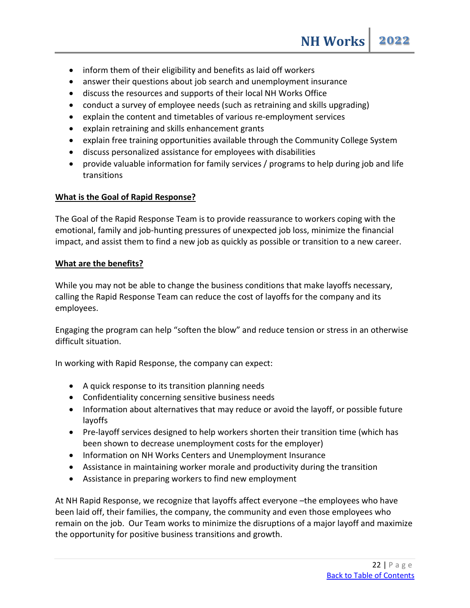- inform them of their eligibility and benefits as laid off workers
- answer their questions about job search and unemployment insurance
- discuss the resources and supports of their local NH Works Office
- conduct a survey of employee needs (such as retraining and skills upgrading)
- explain the content and timetables of various re-employment services
- explain retraining and skills enhancement grants
- explain free training opportunities available through the Community College System
- discuss personalized assistance for employees with disabilities
- provide valuable information for family services / programs to help during job and life transitions

#### **What is the Goal of Rapid Response?**

The Goal of the Rapid Response Team is to provide reassurance to workers coping with the emotional, family and job-hunting pressures of unexpected job loss, minimize the financial impact, and assist them to find a new job as quickly as possible or transition to a new career.

#### **What are the benefits?**

While you may not be able to change the business conditions that make layoffs necessary, calling the Rapid Response Team can reduce the cost of layoffs for the company and its employees.

Engaging the program can help "soften the blow" and reduce tension or stress in an otherwise difficult situation.

In working with Rapid Response, the company can expect:

- A quick response to its transition planning needs
- Confidentiality concerning sensitive business needs
- Information about alternatives that may reduce or avoid the layoff, or possible future layoffs
- Pre-layoff services designed to help workers shorten their transition time (which has been shown to decrease unemployment costs for the employer)
- Information on NH Works Centers and Unemployment Insurance
- Assistance in maintaining worker morale and productivity during the transition
- Assistance in preparing workers to find new employment

At NH Rapid Response, we recognize that layoffs affect everyone –the employees who have been laid off, their families, the company, the community and even those employees who remain on the job. Our Team works to minimize the disruptions of a major layoff and maximize the opportunity for positive business transitions and growth.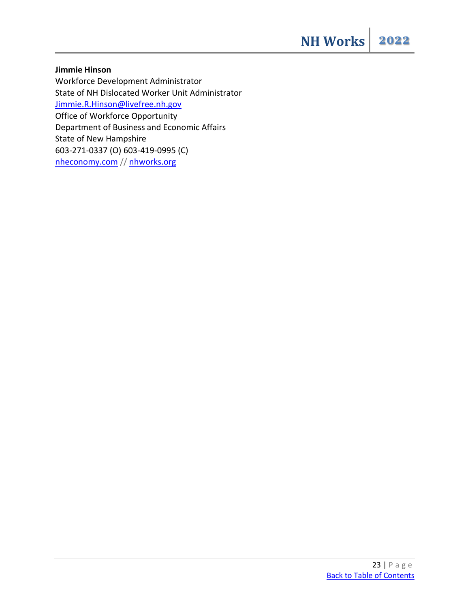#### **Jimmie Hinson**

Workforce Development Administrator State of NH Dislocated Worker Unit Administrator [Jimmie.R.Hinson@livefree.nh.gov](mailto:Jimmie.R.Hinson@livefree.nh.gov) Office of Workforce Opportunity Department of Business and Economic Affairs State of New Hampshire 603-271-0337 (O) 603-419-0995 (C) [nheconomy.com](https://www.nheconomy.com/) // [nhworks.org](https://www.nhworks.org/)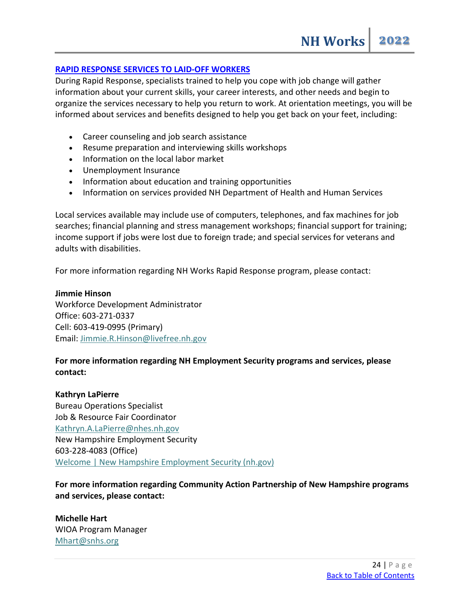#### **[RAPID RESPONSE SERVICES TO LAID-OFF WORKERS](https://www.nheconomy.com/nh-rapid-response/rapid-response-for-workers)**

During Rapid Response, specialists trained to help you cope with job change will gather information about your current skills, your career interests, and other needs and begin to organize the services necessary to help you return to work. At orientation meetings, you will be informed about services and benefits designed to help you get back on your feet, including:

- Career counseling and job search assistance
- Resume preparation and interviewing skills workshops
- Information on the local labor market
- Unemployment Insurance
- Information about education and training opportunities
- Information on services provided NH Department of Health and Human Services

Local services available may include use of computers, telephones, and fax machines for job searches; financial planning and stress management workshops; financial support for training; income support if jobs were lost due to foreign trade; and special services for veterans and adults with disabilities.

For more information regarding NH Works Rapid Response program, please contact:

#### **Jimmie Hinson** Workforce Development Administrator Office: 603-271-0337 Cell: 603-419-0995 (Primary) Email: [Jimmie.R.Hinson@livefree.nh.gov](mailto:Jimmie.R.Hinson@livefree.nh.gov)

#### **For more information regarding NH Employment Security programs and services, please contact:**

**Kathryn LaPierre**

Bureau Operations Specialist Job & Resource Fair Coordinator [Kathryn.A.LaPierre@nhes.nh.gov](mailto:Kathryn.A.LaPierre@nhes.nh.gov) New Hampshire Employment Security 603-228-4083 (Office) [Welcome | New Hampshire Employment Security \(nh.gov\)](https://www.nhes.nh.gov/)

#### **For more information regarding Community Action Partnership of New Hampshire programs and services, please contact:**

**Michelle Hart** WIOA Program Manager [Mhart@snhs.org](mailto:Mhart@snhs.org)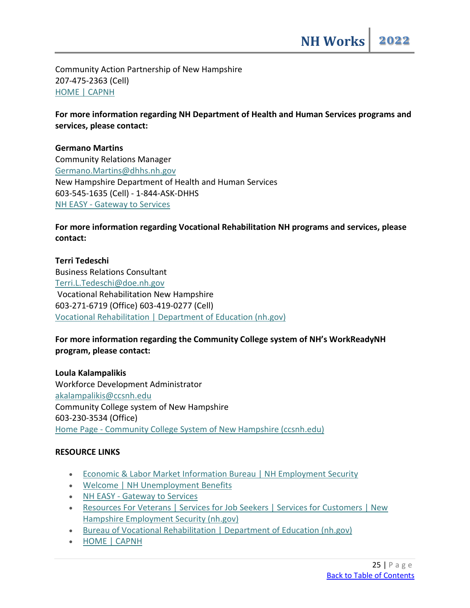Community Action Partnership of New Hampshire 207-475-2363 (Cell) [HOME | CAPNH](https://www.capnh.org/home)

**For more information regarding NH Department of Health and Human Services programs and services, please contact:**

**Germano Martins** Community Relations Manager [Germano.Martins@dhhs.nh.gov](mailto:Germano.Martins@dhhs.nh.gov) New Hampshire Department of Health and Human Services 603-545-1635 (Cell) - 1-844-ASK-DHHS NH EASY - [Gateway to Services](https://nheasy.nh.gov/#/)

**For more information regarding Vocational Rehabilitation NH programs and services, please contact:**

**Terri Tedeschi** Business Relations Consultant [Terri.L.Tedeschi@doe.nh.gov](mailto:Terri.L.Tedeschi@doe.nh.gov) Vocational Rehabilitation New Hampshire 603-271-6719 (Office) 603-419-0277 (Cell) [Vocational Rehabilitation | Department of Education \(nh.gov\)](https://www.education.nh.gov/partners/vocational-rehabilitation)

#### **For more information regarding the Community College system of NH's WorkReadyNH program, please contact:**

**Loula Kalampalikis** Workforce Development Administrator [akalampalikis@ccsnh.edu](mailto:akalampalikis@ccsnh.edu) Community College system of New Hampshire 603-230-3534 (Office) Home Page - [Community College System of New Hampshire \(ccsnh.edu\)](https://www.ccsnh.edu/)

#### **RESOURCE LINKS**

- [Economic & Labor Market Information Bureau | NH Employment Security](https://www.nhes.nh.gov/elmi/index.htm)
- [Welcome | NH Unemployment Benefits](https://www.nhes.nh.gov/)
- NH EASY [Gateway to Services](https://nheasy.nh.gov/#/)
- [Resources For Veterans | Services for Job Seekers | Services for Customers | New](https://www.nhes.nh.gov/)  [Hampshire Employment Security \(nh.gov\)](https://www.nhes.nh.gov/)
- [Bureau of Vocational Rehabilitation | Department of Education \(nh.gov\)](https://www.education.nh.gov/partners/vocational-rehabilitation)
- [HOME | CAPNH](https://www.capnh.org/home)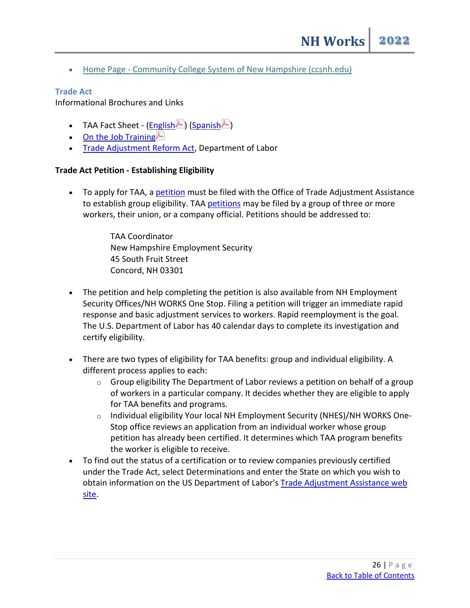• Home Page - [Community College System of New Hampshire \(ccsnh.edu\)](https://www.ccsnh.edu/)

#### **Trade Act**

Informational Brochures and Links

- TAA Fact Sheet [\(English](https://www.nhes.nh.gov/services/employers/documents/taa-factsheet-des.pdf) ) [\(Spanish](https://www.nhes.nh.gov/services/employers/documents/taa-factsheet_spanish.pdf) )
- [On the Job Training](https://www.nhes.nh.gov/services/employers/documents/taaojt-brochure.pdf)
- [Trade Adjustment Reform Act,](http://www.doleta.gov/tradeact/) Department of Labor

#### **Trade Act Petition - Establishing Eligibility**

• To apply for TAA, a [petition](https://www.doleta.gov/tradeact/petitioners/) must be filed with the Office of Trade Adjustment Assistance to establish group eligibility. TAA [petitions](https://www.doleta.gov/tradeact/petitioners/) may be filed by a group of three or more workers, their union, or a company official. Petitions should be addressed to:

> TAA Coordinator New Hampshire Employment Security 45 South Fruit Street Concord, NH 03301

- The petition and help completing the petition is also available from NH Employment Security Offices/NH WORKS One Stop. Filing a petition will trigger an immediate rapid response and basic adjustment services to workers. Rapid reemployment is the goal. The U.S. Department of Labor has 40 calendar days to complete its investigation and certify eligibility.
- There are two types of eligibility for TAA benefits: group and individual eligibility. A different process applies to each:
	- $\circ$  Group eligibility The Department of Labor reviews a petition on behalf of a group of workers in a particular company. It decides whether they are eligible to apply for TAA benefits and programs.
	- $\circ$  Individual eligibility Your local NH Employment Security (NHES)/NH WORKS One-Stop office reviews an application from an individual worker whose group petition has already been certified. It determines which TAA program benefits the worker is eligible to receive.
- To find out the status of a certification or to review companies previously certified under the Trade Act, select Determinations and enter the State on which you wish to obtain information on the US Department of Labor'[s Trade Adjustment Assistance web](https://www.doleta.gov/tradeact/)  [site.](https://www.doleta.gov/tradeact/)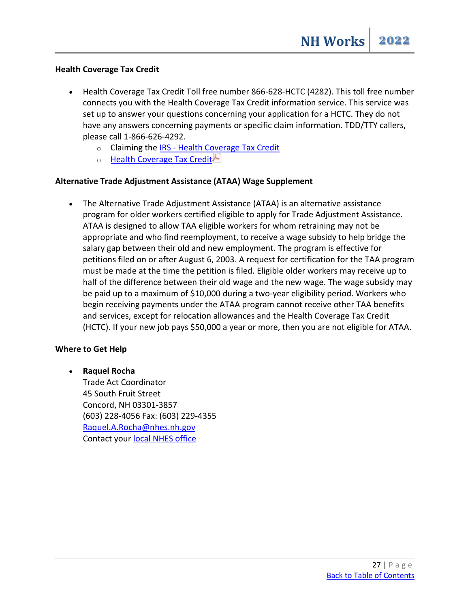#### **Health Coverage Tax Credit**

- Health Coverage Tax Credit Toll free number 866-628-HCTC (4282). This toll free number connects you with the Health Coverage Tax Credit information service. This service was set up to answer your questions concerning your application for a HCTC. They do not have any answers concerning payments or specific claim information. TDD/TTY callers, please call 1-866-626-4292.
	- o Claiming the IRS [Health Coverage Tax Credit](https://www.irs.gov/credits-deductions/individuals/hctc)
	- o [Health Coverage Tax Credit](https://www.nhes.nh.gov/services/employers/documents/taa-health-coverage-taxcredit.pdf)

#### **Alternative Trade Adjustment Assistance (ATAA) Wage Supplement**

• The Alternative Trade Adjustment Assistance (ATAA) is an alternative assistance program for older workers certified eligible to apply for Trade Adjustment Assistance. ATAA is designed to allow TAA eligible workers for whom retraining may not be appropriate and who find reemployment, to receive a wage subsidy to help bridge the salary gap between their old and new employment. The program is effective for petitions filed on or after August 6, 2003. A request for certification for the TAA program must be made at the time the petition is filed. Eligible older workers may receive up to half of the difference between their old wage and the new wage. The wage subsidy may be paid up to a maximum of \$10,000 during a two-year eligibility period. Workers who begin receiving payments under the ATAA program cannot receive other TAA benefits and services, except for relocation allowances and the Health Coverage Tax Credit (HCTC). If your new job pays \$50,000 a year or more, then you are not eligible for ATAA.

#### **Where to Get Help**

• **Raquel Rocha** Trade Act Coordinator 45 South Fruit Street Concord, NH 03301-3857 (603) 228-4056 Fax: (603) 229-4355 [Raquel.A.Rocha@nhes.nh.gov](mailto:Raquel.A.Rocha@nhes.nh.gov) Contact your [local NHES office](https://www.nhes.nh.gov/locations/index.htm)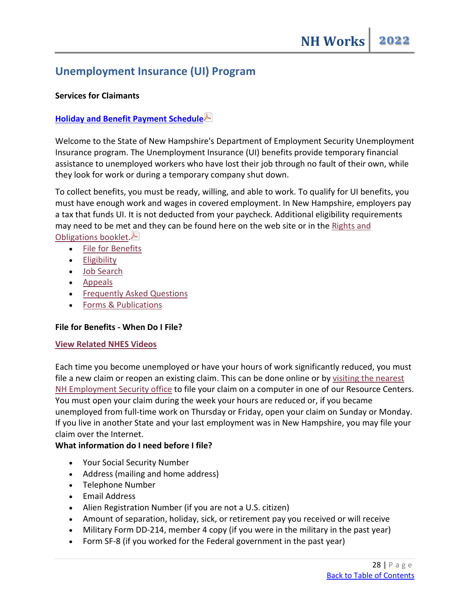# <span id="page-27-0"></span>**Unemployment Insurance (UI) Program**

#### **Services for Claimants**

#### **[Holiday and Benefit Payment Schedule](https://www.nhes.nh.gov/services/claimants/documents/holiday-payment-schedule.pdf)**

Welcome to the State of New Hampshire's Department of Employment Security Unemployment Insurance program. The Unemployment Insurance (UI) benefits provide temporary financial assistance to unemployed workers who have lost their job through no fault of their own, while they look for work or during a temporary company shut down.

To collect benefits, you must be ready, willing, and able to work. To qualify for UI benefits, you must have enough work and wages in covered employment. In New Hampshire, employers pay a tax that funds UI. It is not deducted from your paycheck. Additional eligibility requirements may need to be met and they can be found here on the web site or in the Rights and [Obligations booklet.](https://www.nhes.nh.gov/forms/documents/uc-r-and-o.pdf)

- [File for Benefits](https://www.nhes.nh.gov/services/claimants/file.htm)
- [Eligibility](https://www.nhes.nh.gov/services/claimants/eligibility.htm)
- [Job Search](https://www.nhes.nh.gov/services/job-seekers/jobs.htm)
- [Appeals](https://www.nhes.nh.gov/appeals/index.htm)
- [Frequently Asked Questions](https://www.nhes.nh.gov/faq/claimant.htm)
- [Forms & Publications](https://www.nhes.nh.gov/forms/claimants.htm)

#### **File for Benefits - When Do I File?**

#### **[View Related NHES Videos](https://www.nhes.nh.gov/media/video/index.htm)**

Each time you become unemployed or have your hours of work significantly reduced, you must file a new claim or reopen an existing claim. This can be done online or by [visiting the nearest](https://www.nhes.nh.gov/locations/index.htm)  [NH Employment Security office](https://www.nhes.nh.gov/locations/index.htm) to file your claim on a computer in one of our Resource Centers. You must open your claim during the week your hours are reduced or, if you became unemployed from full-time work on Thursday or Friday, open your claim on Sunday or Monday. If you live in another State and your last employment was in New Hampshire, you may file your claim over the Internet.

#### **What information do I need before I file?**

- Your Social Security Number
- Address (mailing and home address)
- Telephone Number
- Email Address
- Alien Registration Number (if you are not a U.S. citizen)
- Amount of separation, holiday, sick, or retirement pay you received or will receive
- Military Form DD-214, member 4 copy (if you were in the military in the past year)
- Form SF-8 (if you worked for the Federal government in the past year)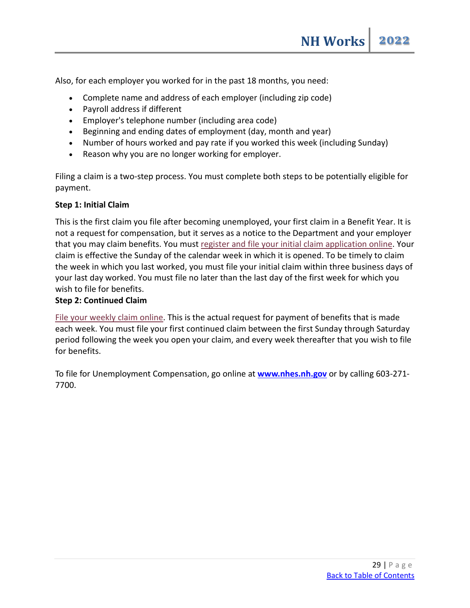Also, for each employer you worked for in the past 18 months, you need:

- Complete name and address of each employer (including zip code)
- Payroll address if different
- Employer's telephone number (including area code)
- Beginning and ending dates of employment (day, month and year)
- Number of hours worked and pay rate if you worked this week (including Sunday)
- Reason why you are no longer working for employer.

Filing a claim is a two-step process. You must complete both steps to be potentially eligible for payment.

#### **Step 1: Initial Claim**

This is the first claim you file after becoming unemployed, your first claim in a Benefit Year. It is not a request for compensation, but it serves as a notice to the Department and your employer that you may claim benefits. You must [register and file your initial claim application online.](https://nhuis.nh.gov/claimant/) Your claim is effective the Sunday of the calendar week in which it is opened. To be timely to claim the week in which you last worked, you must file your initial claim within three business days of your last day worked. You must file no later than the last day of the first week for which you wish to file for benefits.

#### **Step 2: Continued Claim**

[File your weekly claim online.](https://nhuis.nh.gov/claimant/cmtsplash.jsp?REGISTER_TYPE=EXISTING_USER) This is the actual request for payment of benefits that is made each week. You must file your first continued claim between the first Sunday through Saturday period following the week you open your claim, and every week thereafter that you wish to file for benefits.

To file for Unemployment Compensation, go online at **[www.nhes.nh.gov](http://www.nhes.nh.gov/)** or by calling 603-271- 7700.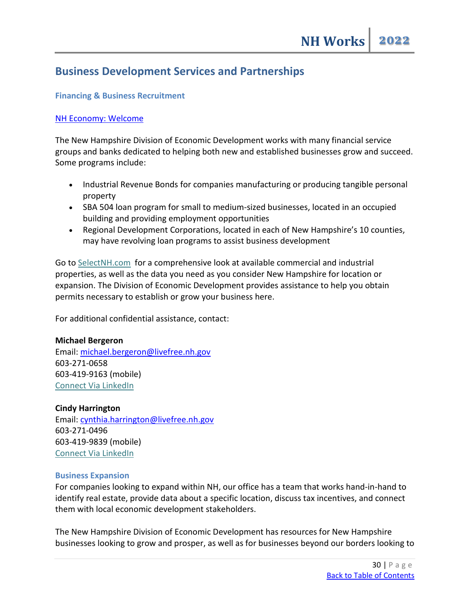# <span id="page-29-0"></span>**Business Development Services and Partnerships**

#### **Financing & Business Recruitment**

#### [NH Economy: Welcome](https://www.nheconomy.com/move)

The New Hampshire Division of Economic Development works with many financial service groups and banks dedicated to helping both new and established businesses grow and succeed. Some programs include:

- Industrial Revenue Bonds for companies manufacturing or producing tangible personal property
- SBA 504 loan program for small to medium-sized businesses, located in an occupied building and providing employment opportunities
- Regional Development Corporations, located in each of New Hampshire's 10 counties, may have revolving loan programs to assist business development

Go to [SelectNH.com](http://www.selectnh.com/) for a comprehensive look at available commercial and industrial properties, as well as the data you need as you consider New Hampshire for location or expansion. The Division of Economic Development provides assistance to help you obtain permits necessary to establish or grow your business here.

For additional confidential assistance, contact:

#### **Michael Bergeron**

Email: [michael.bergeron@livefree.nh.gov](mailto:michael.bergeron@livefree.nh.gov) 603-271-0658 603-419-9163 (mobile) [Connect Via LinkedIn](http://www.linkedin.com/pub/michael-bergeron/12/369/319/)

#### **Cindy Harrington**

Email: [cynthia.harrington@livefree.nh.gov](mailto:cynthia.harrington@livefree.nh.gov) 603-271-0496 603-419-9839 (mobile) [Connect Via LinkedIn](http://www.linkedin.com/pub/cynthia-harrington/14/469/a74/)

#### **[Business Expansion](http://www.nheconomy.com/why-new-hampshire)**

For companies looking to expand within NH, our office has a team that works hand-in-hand to identify real estate, provide data about a specific location, discuss tax incentives, and connect them with local economic development stakeholders.

The New Hampshire Division of Economic Development has resources for New Hampshire businesses looking to grow and prosper, as well as for businesses beyond our borders looking to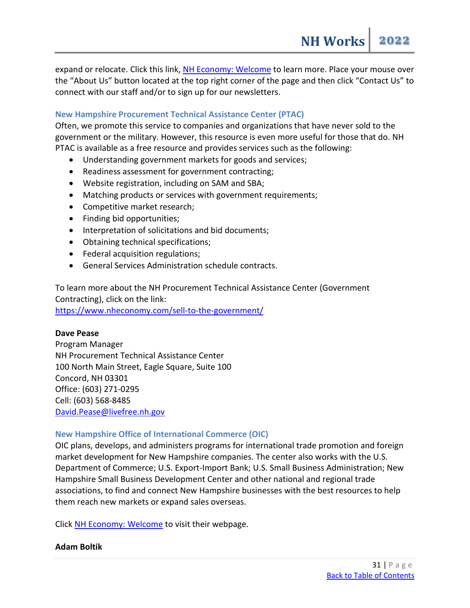expand or relocate. Click this link, [NH Economy: Welcome](https://www.nheconomy.com/) to learn more. Place your mouse over the "About Us" button located at the top right corner of the page and then click "Contact Us" to connect with our staff and/or to sign up for our newsletters.

#### **New Hampshire Procurement Technical Assistance Center (PTAC)**

Often, we promote this service to companies and organizations that have never sold to the government or the military. However, this resource is even more useful for those that do. NH PTAC is available as a free resource and provides services such as the following:

- Understanding government markets for goods and services;
- Readiness assessment for government contracting;
- Website registration, including on SAM and SBA;
- Matching products or services with government requirements;
- Competitive market research;
- Finding bid opportunities;
- Interpretation of solicitations and bid documents;
- Obtaining technical specifications;
- Federal acquisition regulations;
- General Services Administration schedule contracts.

To learn more about the NH Procurement Technical Assistance Center (Government Contracting), click on the link:

<https://www.nheconomy.com/sell-to-the-government/>

#### **Dave Pease**

Program Manager NH Procurement Technical Assistance Center 100 North Main Street, Eagle Square, Suite 100 Concord, NH 03301 Office: (603) 271-0295 Cell: (603) 568-8485 [David.Pease@livefree.nh.gov](mailto:David.Pease@livefree.nh.gov)

#### **New Hampshire Office of International Commerce (OIC)**

OIC plans, develops, and administers programs for international trade promotion and foreign market development for New Hampshire companies. The center also works with the U.S. Department of Commerce; U.S. Export-Import Bank; U.S. Small Business Administration; New Hampshire Small Business Development Center and other national and regional trade associations, to find and connect New Hampshire businesses with the best resources to help them reach new markets or expand sales overseas.

Click [NH Economy: Welcome](https://www.nheconomy.com/office-of-international-commerce/) to visit their webpage.

#### **Adam Boltik**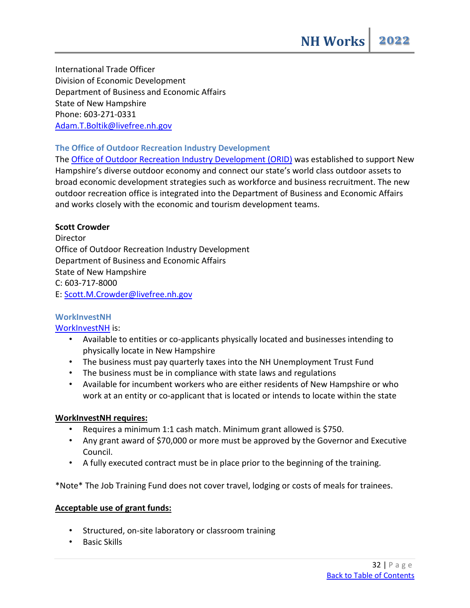International Trade Officer Division of Economic Development Department of Business and Economic Affairs State of New Hampshire Phone: 603-271-0331 [Adam.T.Boltik@livefree.nh.gov](mailto:Adam.T.Boltik@livefree.nh.gov)

#### **The Office of Outdoor Recreation Industry Development**

The [Office of Outdoor Recreation Industry Development \(ORID\)](https://www.nheconomy.com/about-us/orid) was established to support New Hampshire's diverse outdoor economy and connect our state's world class outdoor assets to broad economic development strategies such as workforce and business recruitment. The new outdoor recreation office is integrated into the Department of Business and Economic Affairs and works closely with the economic and tourism development teams.

#### **Scott Crowder**

**Director** Office of Outdoor Recreation Industry Development Department of Business and Economic Affairs State of New Hampshire C: 603-717-8000 E: [Scott.M.Crowder@livefree.nh.gov](mailto:Scott.M.Crowder@livefree.nh.gov)

#### **WorkInvestNH**

#### [WorkInvestNH](https://www.nhes.nh.gov/services/employers/work-invest-nh.htm) is:

- Available to entities or co-applicants physically located and businesses intending to physically locate in New Hampshire
- The business must pay quarterly taxes into the NH Unemployment Trust Fund
- The business must be in compliance with state laws and regulations
- Available for incumbent workers who are either residents of New Hampshire or who work at an entity or co-applicant that is located or intends to locate within the state

#### **WorkInvestNH requires:**

- Requires a minimum 1:1 cash match. Minimum grant allowed is \$750.
- Any grant award of \$70,000 or more must be approved by the Governor and Executive Council.
- A fully executed contract must be in place prior to the beginning of the training.

\*Note\* The Job Training Fund does not cover travel, lodging or costs of meals for trainees.

#### **Acceptable use of grant funds:**

- Structured, on-site laboratory or classroom training
- Basic Skills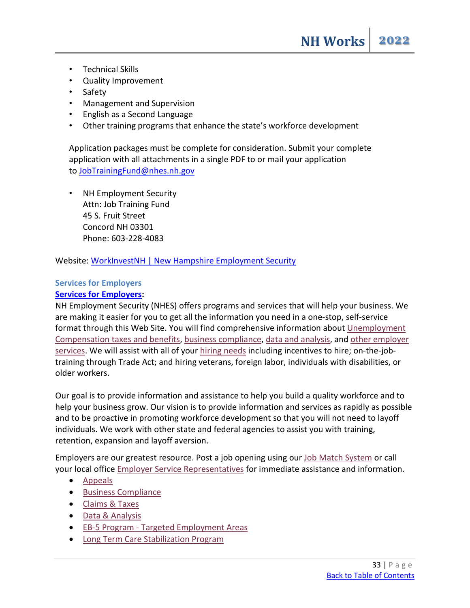- Technical Skills
- Quality Improvement
- Safety
- Management and Supervision
- English as a Second Language
- Other training programs that enhance the state's workforce development

Application packages must be complete for consideration. Submit your complete application with all attachments in a single PDF to or mail your application to [JobTrainingFund@nhes.nh.gov](mailto:JobTrainingFund@nhes.nh.gov)

• NH Employment Security Attn: Job Training Fund 45 S. Fruit Street Concord NH 03301 Phone: 603-228-4083

Website: [WorkInvestNH | New Hampshire Employment Security](https://www.nhes.nh.gov/services/employers/work-invest-nh.htm)

# **Services for Employers**

### **[Services for Employers:](https://www.nhes.nh.gov/services/employers/index.htm)**

NH Employment Security (NHES) offers programs and services that will help your business. We are making it easier for you to get all the information you need in a one-stop, self-service format through this Web Site. You will find comprehensive information about Unemployment [Compensation taxes and benefits,](https://www.nhes.nh.gov/services/employers/claimtax.htm) [business compliance,](https://www.nhes.nh.gov/services/employers/compliance.htm) [data and analysis,](https://www.nhes.nh.gov/elmi/index.htm) and [other employer](https://www.nhes.nh.gov/services/employers/other.htm)  [services.](https://www.nhes.nh.gov/services/employers/other.htm) We will assist with all of your [hiring needs](https://www.nhes.nh.gov/services/employers/recruit.htm) including incentives to hire; on-the-jobtraining through Trade Act; and hiring veterans, foreign labor, individuals with disabilities, or older workers.

Our goal is to provide information and assistance to help you build a quality workforce and to help your business grow. Our vision is to provide information and services as rapidly as possible and to be proactive in promoting workforce development so that you will not need to layoff individuals. We work with other state and federal agencies to assist you with training, retention, expansion and layoff aversion.

Employers are our greatest resource. Post a job opening using our [Job Match System](https://nhworksjobmatch.nhes.nh.gov/) or call your local office [Employer Service Representatives](https://www.nhes.nh.gov/services/employers/service-reps.htm) for immediate assistance and information.

- [Appeals](https://www.nhes.nh.gov/appeals/index.htm)
- [Business Compliance](https://www.nhes.nh.gov/services/employers/compliance.htm)
- [Claims & Taxes](https://www.nhes.nh.gov/services/employers/claimtax.htm)
- [Data & Analysis](https://www.nhes.nh.gov/services/employers/data.htm)
- EB-5 Program [Targeted Employment Areas](https://www.nhes.nh.gov/elmi/products/eb5-program.htm)
- [Long Term Care Stabilization Program](https://www.nhes.nh.gov/services/employers/longtermcare.htm)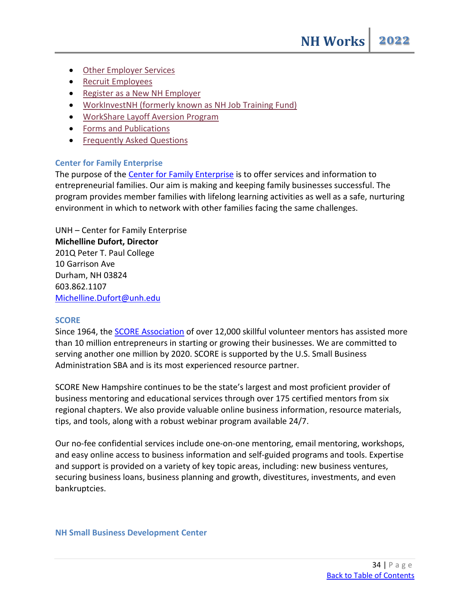- [Other Employer Services](https://www.nhes.nh.gov/services/employers/other.htm)
- [Recruit Employees](https://www.nhes.nh.gov/services/employers/recruit.htm)
- [Register as a New NH Employer](https://www.nhes.nh.gov/services/employers/register.htm)
- [WorkInvestNH \(formerly known as NH Job Training Fund\)](https://www.nhes.nh.gov/services/employers/work-invent-nh.htm)
- [WorkShare Layoff Aversion Program](https://www.nhes.nh.gov/nhworking/stay/index.htm)
- [Forms and Publications](https://www.nhes.nh.gov/forms/employers.htm)
- [Frequently Asked Questions](https://www.nhes.nh.gov/faq/employers.htm)

#### **Center for Family Enterprise**

The purpose of the [Center for Family Enterprise](https://paulcollege.unh.edu/center-family-enterprise/about-us) is to offer services and information to entrepreneurial families. Our aim is making and keeping family businesses successful. The program provides member families with lifelong learning activities as well as a safe, nurturing environment in which to network with other families facing the same challenges.

UNH – Center for Family Enterprise **Michelline Dufort, Director** 201Q Peter T. Paul College 10 Garrison Ave Durham, NH 03824 603.862.1107 [Michelline.Dufort@unh.edu](mailto:Michelline.Dufort@unh.edu)

#### **SCORE**

Since 1964, the **SCORE Association** of over 12,000 skillful volunteer mentors has assisted more than 10 million entrepreneurs in starting or growing their businesses. We are committed to serving another one million by 2020. SCORE is supported by the U.S. Small Business Administration SBA and is its most experienced resource partner.

SCORE New Hampshire continues to be the state's largest and most proficient provider of business mentoring and educational services through over 175 certified mentors from six regional chapters. We also provide valuable online business information, resource materials, tips, and tools, along with a robust webinar program available 24/7.

Our no-fee confidential services include one-on-one mentoring, email mentoring, workshops, and easy online access to business information and self-guided programs and tools. Expertise and support is provided on a variety of key topic areas, including: new business ventures, securing business loans, business planning and growth, divestitures, investments, and even bankruptcies.

#### **NH Small Business Development Center**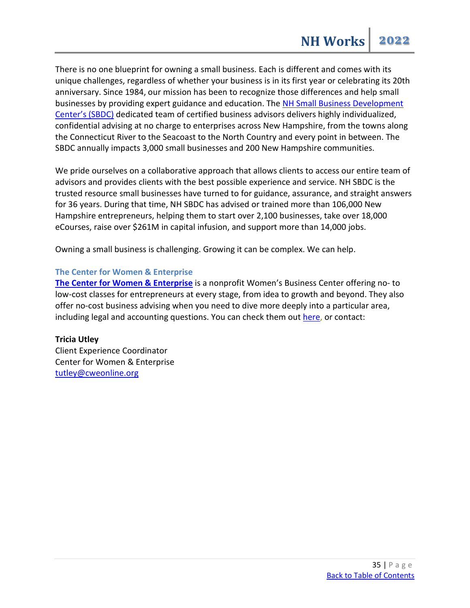There is no one blueprint for owning a small business. Each is different and comes with its unique challenges, regardless of whether your business is in its first year or celebrating its 20th anniversary. Since 1984, our mission has been to recognize those differences and help small businesses by providing expert guidance and education. The [NH Small Business Development](https://www.nhsbdc.org/)  [Center's \(SBDC\)](https://www.nhsbdc.org/) dedicated team of certified business advisors delivers highly individualized, confidential advising at no charge to enterprises across New Hampshire, from the towns along the Connecticut River to the Seacoast to the North Country and every point in between. The SBDC annually impacts 3,000 small businesses and 200 New Hampshire communities.

We pride ourselves on a collaborative approach that allows clients to access our entire team of advisors and provides clients with the best possible experience and service. NH SBDC is the trusted resource small businesses have turned to for guidance, assurance, and straight answers for 36 years. During that time, NH SBDC has advised or trained more than 106,000 New Hampshire entrepreneurs, helping them to start over 2,100 businesses, take over 18,000 eCourses, raise over \$261M in capital infusion, and support more than 14,000 jobs.

Owning a small business is challenging. Growing it can be complex. We can help.

#### **The Center for Women & Enterprise**

**[The Center for Women & Enterprise](https://www.cweonline.org/About-CWE/CWE-New-Hampshire)** is a nonprofit Women's Business Center offering no- to low-cost classes for entrepreneurs at every stage, from idea to growth and beyond. They also offer no-cost business advising when you need to dive more deeply into a particular area, including legal and accounting questions. You can check them out [here,](https://urldefense.com/v3/__https:/www.cweonline.org/About-CWE/CWE-New-Hampshire__;!!Oai6dtTQULp8Sw!ECq_-IbCiiVZ4Eka5Vinx3YjKl5N0mIZ9vn75_2L1coJPScYTrcx8f2WqdBiP7ICNy_uOv0EGw$) or contact:

**Tricia Utley** Client Experience Coordinator Center for Women & Enterprise [tutley@cweonline.org](mailto:tutley@cweonline.org)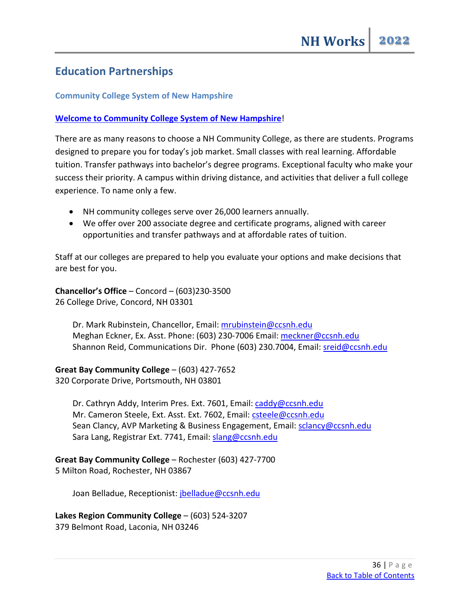# <span id="page-35-0"></span>**Education Partnerships**

#### **Community College System of New Hampshire**

#### **[Welcome to Community College System of New Hampshire](https://www.ccsnh.edu/about-ccsnh/)**!

There are as many reasons to choose a NH Community College, as there are students. Programs designed to prepare you for today's job market. Small classes with real learning. Affordable tuition. Transfer pathways into bachelor's degree programs. Exceptional faculty who make your success their priority. A campus within driving distance, and activities that deliver a full college experience. To name only a few.

- NH community colleges serve over 26,000 learners annually.
- We offer over 200 associate degree and certificate programs, aligned with career opportunities and transfer pathways and at affordable rates of tuition.

Staff at our colleges are prepared to help you evaluate your options and make decisions that are best for you.

**Chancellor's Office** – Concord – (603)230-3500 26 College Drive, Concord, NH 03301

Dr. Mark Rubinstein, Chancellor, Email: [mrubinstein@ccsnh.edu](mailto:mrubinstein@ccsnh.edu) Meghan Eckner, Ex. Asst. Phone: (603) 230-7006 Email[: meckner@ccsnh.edu](mailto:meckner@ccsnh.edu) Shannon Reid, Communications Dir. Phone (603) 230.7004, Email: [sreid@ccsnh.edu](mailto:sreid@ccsnh.edu)

### **Great Bay Community College** – (603) 427-7652

320 Corporate Drive, Portsmouth, NH 03801

Dr. Cathryn Addy, Interim Pres. Ext. 7601, Email: [caddy@ccsnh.edu](mailto:caddy@ccsnh.edu) Mr. Cameron Steele, Ext. Asst. Ext. 7602, Email: [csteele@ccsnh.edu](mailto:csteele@ccsnh.edu) Sean Clancy, AVP Marketing & Business Engagement, Email: [sclancy@ccsnh.edu](mailto:sclancy@ccsnh.edu) Sara Lang, Registrar Ext. 7741, Email: [slang@ccsnh.edu](mailto:slang@ccsnh.edu)

#### **Great Bay Community College** – Rochester (603) 427-7700 5 Milton Road, Rochester, NH 03867

Joan Belladue, Receptionist: [jbelladue@ccsnh.edu](mailto:jbelladue@ccsnh.edu)

**Lakes Region Community College** – (603) 524-3207 379 Belmont Road, Laconia, NH 03246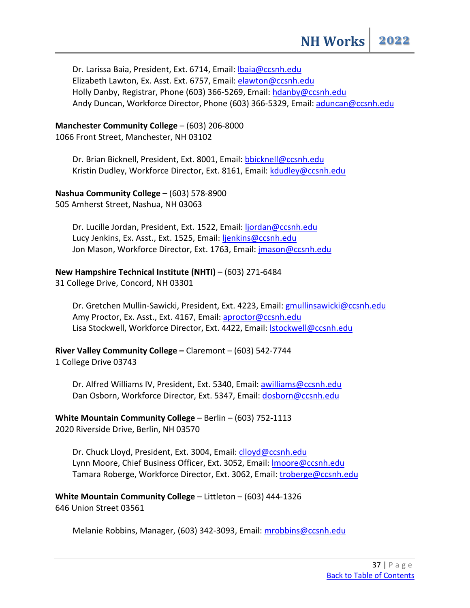Dr. Larissa Baia, President, Ext. 6714, Email: [lbaia@ccsnh.edu](mailto:lbaia@ccsnh.edu) Elizabeth Lawton, Ex. Asst. Ext. 6757, Email: [elawton@ccsnh.edu](mailto:elawton@ccsnh.edu) Holly Danby, Registrar, Phone (603) 366-5269, Email: [hdanby@ccsnh.edu](mailto:hdanby@ccsnh.edu) Andy Duncan, Workforce Director, Phone (603) 366-5329, Email: [aduncan@ccsnh.edu](mailto:aduncan@ccsnh.edu)

#### **Manchester Community College** – (603) 206-8000

1066 Front Street, Manchester, NH 03102

Dr. Brian Bicknell, President, Ext. 8001, Email: [bbicknell@ccsnh.edu](mailto:bbicknell@ccsnh.edu) Kristin Dudley, Workforce Director, Ext. 8161, Email: [kdudley@ccsnh.edu](mailto:kdudley@ccsnh.edu)

**Nashua Community College** – (603) 578-8900 505 Amherst Street, Nashua, NH 03063

Dr. Lucille Jordan, President, Ext. 1522, Email: [ljordan@ccsnh.edu](mailto:ljordan@ccsnh.edu) Lucy Jenkins, Ex. Asst., Ext. 1525, Email: [ljenkins@ccsnh.edu](mailto:ljenkins@ccsnh.edu) Jon Mason, Workforce Director, Ext. 1763, Email: [jmason@ccsnh.edu](mailto:jmason@ccsnh.edu)

#### **New Hampshire Technical Institute (NHTI)** – (603) 271-6484

31 College Drive, Concord, NH 03301

Dr. Gretchen Mullin-Sawicki, President, Ext. 4223, Email: [gmullinsawicki@ccsnh.edu](mailto:gmullinsawicki@ccsnh.edu) Amy Proctor, Ex. Asst., Ext. 4167, Email: [aproctor@ccsnh.edu](mailto:aproctor@ccsnh.edu) Lisa Stockwell, Workforce Director, Ext. 4422, Email: **Istockwell@ccsnh.edu** 

**River Valley Community College –** Claremont – (603) 542-7744 1 College Drive 03743

Dr. Alfred Williams IV, President, Ext. 5340, Email: [awilliams@ccsnh.edu](mailto:awilliams@ccsnh.edu) Dan Osborn, Workforce Director, Ext. 5347, Email: [dosborn@ccsnh.edu](mailto:dosborn@ccsnh.edu)

**White Mountain Community College** – Berlin – (603) 752-1113 2020 Riverside Drive, Berlin, NH 03570

Dr. Chuck Lloyd, President, Ext. 3004, Email: *clloyd@ccsnh.edu* Lynn Moore, Chief Business Officer, Ext. 3052, Email: Imoore@ccsnh.edu Tamara Roberge, Workforce Director, Ext. 3062, Email: [troberge@ccsnh.edu](mailto:troberge@ccsnh.edu)

**White Mountain Community College** – Littleton – (603) 444-1326 646 Union Street 03561

Melanie Robbins, Manager, (603) 342-3093, Email: [mrobbins@ccsnh.edu](mailto:mrobbins@ccsnh.edu)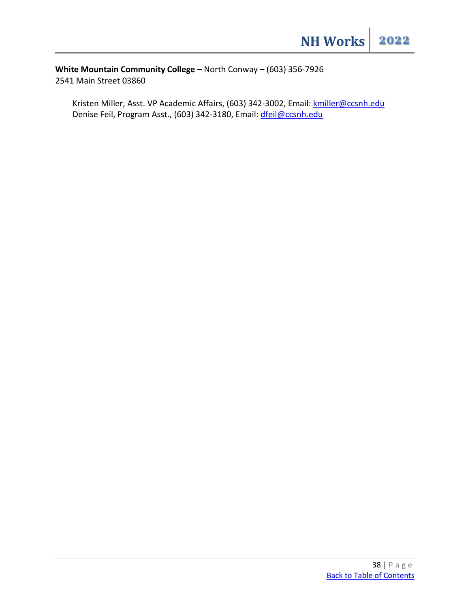**White Mountain Community College** – North Conway – (603) 356-7926 2541 Main Street 03860

Kristen Miller, Asst. VP Academic Affairs, (603) 342-3002, Email: [kmiller@ccsnh.edu](mailto:kmiller@ccsnh.edu) Denise Feil, Program Asst., (603) 342-3180, Email: *dfeil@ccsnh.edu*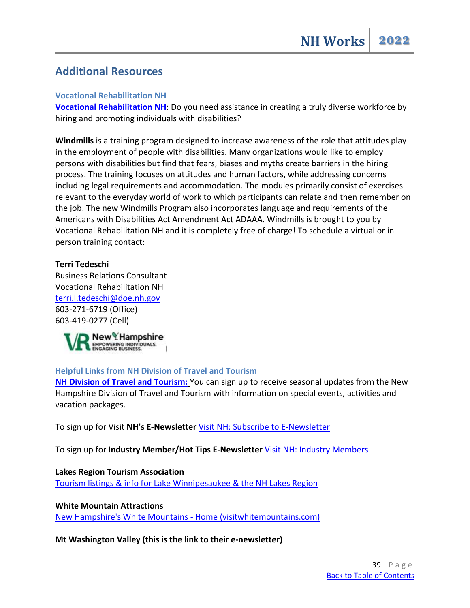# <span id="page-38-0"></span>**Additional Resources**

#### **Vocational Rehabilitation NH**

**[Vocational Rehabilitation](https://www.education.nh.gov/partners/vocational-rehabilitation) NH**: Do you need assistance in creating a truly diverse workforce by hiring and promoting individuals with disabilities?

**Windmills** is a training program designed to increase awareness of the role that attitudes play in the employment of people with disabilities. Many organizations would like to employ persons with disabilities but find that fears, biases and myths create barriers in the hiring process. The training focuses on attitudes and human factors, while addressing concerns including legal requirements and accommodation. The modules primarily consist of exercises relevant to the everyday world of work to which participants can relate and then remember on the job. The new Windmills Program also incorporates language and requirements of the Americans with Disabilities Act Amendment Act ADAAA. Windmills is brought to you by Vocational Rehabilitation NH and it is completely free of charge! To schedule a virtual or in person training contact:

#### **Terri Tedeschi**

Business Relations Consultant Vocational Rehabilitation NH [terri.l.tedeschi@doe.nh.gov](mailto:terri.l.tedeschi@doe.nh.gov) 603-271-6719 (Office) 603-419-0277 (Cell)



#### **Helpful Links from NH Division of Travel and Tourism**

**[NH Division of Travel and Tourism:](https://www.visitnh.gov/)** You can sign up to receive seasonal updates from the New Hampshire Division of Travel and Tourism with information on special events, activities and vacation packages.

To sign up for Visit **NH's E-Newsletter** Visit NH: [Subscribe to E-Newsletter](https://www.visitnh.gov/visitor-information/subscribe-to-enewsletters)

To sign up for **Industry Member/Hot Tips E-Newsletter** Visit NH: [Industry Members](https://www.visitnh.gov/industry-members)

**Lakes Region Tourism Association** [Tourism listings & info for Lake Winnipesaukee & the NH Lakes Region](https://www.lakesregion.org/)

#### **White Mountain Attractions**

[New Hampshire's White Mountains -](https://www.visitwhitemountains.com/) Home (visitwhitemountains.com)

**Mt Washington Valley (this is the link to their e-newsletter)**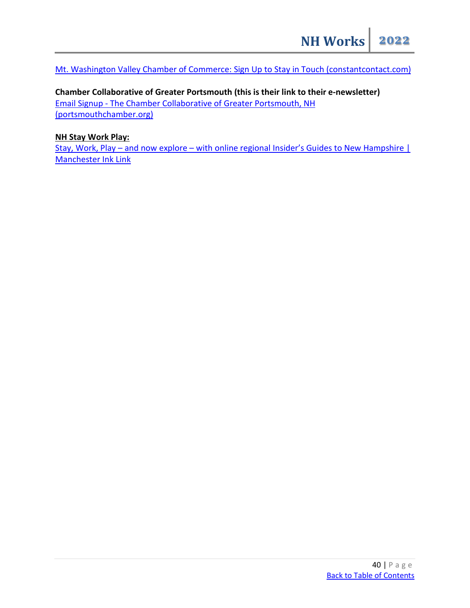[Mt. Washington Valley Chamber of Commerce: Sign Up to Stay in Touch \(constantcontact.com\)](https://visitor.r20.constantcontact.com/manage/optin?v=001E3QFIJIHRID1aC5vsg4Rt6Ita361Bt0v4gLfrKgk-FjDkdKYxtvIXvlDCvSceoEAhltTokRBZgqjZNVQ55_T_e0zL-ftopbx3esrdn4a9ZnujIXN8QjURnUri2ZUv41gziiYS0gyYkcOMhXcG_QuE3GEXVQpAbhkIrVL3qBPBT0%3D)

# **Chamber Collaborative of Greater Portsmouth (this is their link to their e-newsletter)**

Email Signup - [The Chamber Collaborative of Greater Portsmouth, NH](https://portsmouthchamber.org/email-signup)  [\(portsmouthchamber.org\)](https://portsmouthchamber.org/email-signup)

#### **NH Stay Work Play:**

Stay, Work, Play – and now explore – with online regional Insider's Guides to New Hampshire | [Manchester Ink Link](https://manchesterinklink.com/stay-work-play-and-now-explore-with-online-regional-insiders-guides-to-new-hampshire/)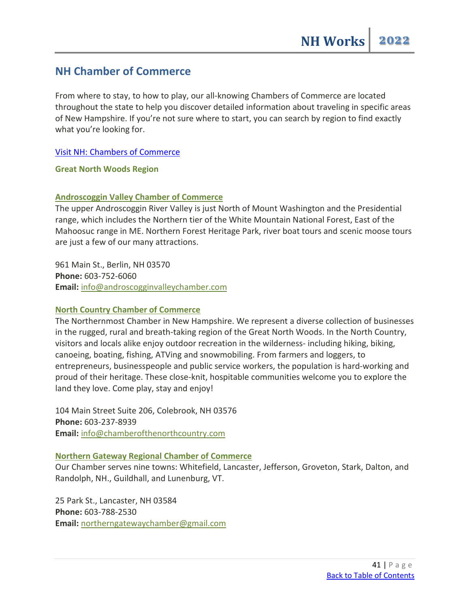## <span id="page-40-0"></span>**NH Chamber of Commerce**

From where to stay, to how to play, our all-knowing Chambers of Commerce are located throughout the state to help you discover detailed information about traveling in specific areas of New Hampshire. If you're not sure where to start, you can search by region to find exactly what you're looking for.

Visit NH: [Chambers of Commerce](https://www.visitnh.gov/seasonal-trips/getting-here/chambers-of-commerce)

**Great North Woods Region**

#### **[Androscoggin Valley Chamber of Commerce](https://androscogginvalleychamber.com/)**

The upper Androscoggin River Valley is just North of Mount Washington and the Presidential range, which includes the Northern tier of the White Mountain National Forest, East of the Mahoosuc range in ME. Northern Forest Heritage Park, river boat tours and scenic moose tours are just a few of our many attractions.

961 Main St., Berlin, NH 03570 **Phone:** 603-752-6060 **Email:** [info@androscogginvalleychamber.com](mailto:info@androscogginvalleychamber.com)

#### **[North Country Chamber of Commerce](https://www.chamberofthenorthcountry.com/)**

The Northernmost Chamber in New Hampshire. We represent a diverse collection of businesses in the rugged, rural and breath-taking region of the Great North Woods. In the North Country, visitors and locals alike enjoy outdoor recreation in the wilderness- including hiking, biking, canoeing, boating, fishing, ATVing and snowmobiling. From farmers and loggers, to entrepreneurs, businesspeople and public service workers, the population is hard-working and proud of their heritage. These close-knit, hospitable communities welcome you to explore the land they love. Come play, stay and enjoy!

104 Main Street Suite 206, Colebrook, NH 03576 **Phone:** 603-237-8939 **Email:** [info@chamberofthenorthcountry.com](mailto:info@chamberofthenorthcountry.com)

#### **[Northern Gateway Regional Chamber of Commerce](https://www.northerngatewaychamber.org/)**

Our Chamber serves nine towns: Whitefield, Lancaster, Jefferson, Groveton, Stark, Dalton, and Randolph, NH., Guildhall, and Lunenburg, VT.

25 Park St., Lancaster, NH 03584 **Phone:** 603-788-2530 **Email:** [northerngatewaychamber@gmail.com](mailto:northerngatewaychamber@gmail.com)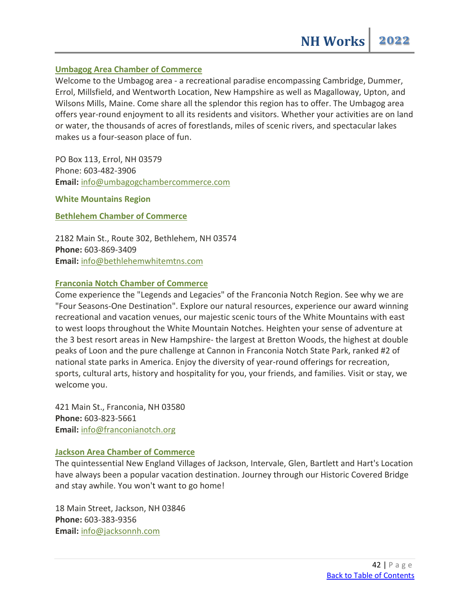#### **[Umbagog Area Chamber of Commerce](http://www.umbagogchamber.com/)**

Welcome to the Umbagog area - a recreational paradise encompassing Cambridge, Dummer, Errol, Millsfield, and Wentworth Location, New Hampshire as well as Magalloway, Upton, and Wilsons Mills, Maine. Come share all the splendor this region has to offer. The Umbagog area offers year-round enjoyment to all its residents and visitors. Whether your activities are on land or water, the thousands of acres of forestlands, miles of scenic rivers, and spectacular lakes makes us a four-season place of fun.

PO Box 113, Errol, NH 03579 Phone: 603-482-3906 **Email:** [info@umbagogchambercommerce.com](mailto:info@umbagogchambercommerce.com)

**White Mountains Region**

**[Bethlehem Chamber of Commerce](http://bethlehemwhitemtns.com/index.php)**

2182 Main St., Route 302, Bethlehem, NH 03574 **Phone:** 603-869-3409 **Email:** [info@bethlehemwhitemtns.com](mailto:info@bethlehemwhitemtns.com)

#### **[Franconia Notch Chamber of Commerce](http://www.franconianotch.org/)**

Come experience the "Legends and Legacies" of the Franconia Notch Region. See why we are "Four Seasons-One Destination". Explore our natural resources, experience our award winning recreational and vacation venues, our majestic scenic tours of the White Mountains with east to west loops throughout the White Mountain Notches. Heighten your sense of adventure at the 3 best resort areas in New Hampshire- the largest at Bretton Woods, the highest at double peaks of Loon and the pure challenge at Cannon in Franconia Notch State Park, ranked #2 of national state parks in America. Enjoy the diversity of year-round offerings for recreation, sports, cultural arts, history and hospitality for you, your friends, and families. Visit or stay, we welcome you.

421 Main St., Franconia, NH 03580 **Phone:** 603-823-5661 **Email:** [info@franconianotch.org](mailto:info@franconianotch.org)

#### **[Jackson Area Chamber of Commerce](https://jacksonnh.com/)**

The quintessential New England Villages of Jackson, Intervale, Glen, Bartlett and Hart's Location have always been a popular vacation destination. Journey through our Historic Covered Bridge and stay awhile. You won't want to go home!

18 Main Street, Jackson, NH 03846 **Phone:** 603-383-9356 **Email:** [info@jacksonnh.com](mailto:info@jacksonnh.com)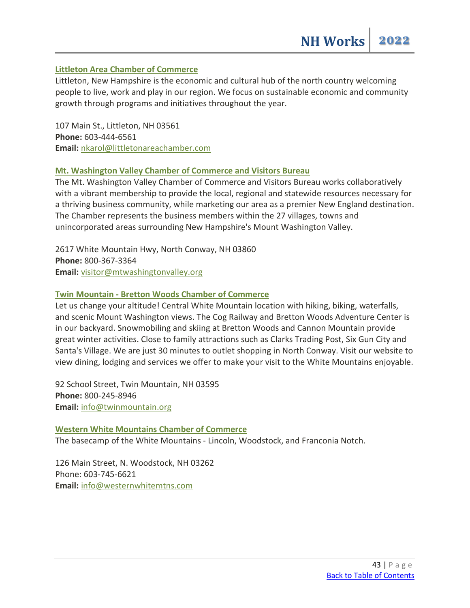#### **[Littleton Area Chamber of Commerce](https://littletonareachamber.com/)**

Littleton, New Hampshire is the economic and cultural hub of the north country welcoming people to live, work and play in our region. We focus on sustainable economic and community growth through programs and initiatives throughout the year.

107 Main St., Littleton, NH 03561 **Phone:** 603-444-6561 **Email:** [nkarol@littletonareachamber.com](mailto:nkarol@littletonareachamber.com)

#### **[Mt. Washington Valley Chamber of Commerce and Visitors Bureau](http://www.mtwashingtonvalley.org/)**

The Mt. Washington Valley Chamber of Commerce and Visitors Bureau works collaboratively with a vibrant membership to provide the local, regional and statewide resources necessary for a thriving business community, while marketing our area as a premier New England destination. The Chamber represents the business members within the 27 villages, towns and unincorporated areas surrounding New Hampshire's Mount Washington Valley.

2617 White Mountain Hwy, North Conway, NH 03860 **Phone:** 800-367-3364 **Email:** [visitor@mtwashingtonvalley.org](mailto:visitor@mtwashingtonvalley.org)

#### **Twin Mountain - [Bretton Woods Chamber of Commerce](http://www.twinmountain.org/)**

Let us change your altitude! Central White Mountain location with hiking, biking, waterfalls, and scenic Mount Washington views. The Cog Railway and Bretton Woods Adventure Center is in our backyard. Snowmobiling and skiing at Bretton Woods and Cannon Mountain provide great winter activities. Close to family attractions such as Clarks Trading Post, Six Gun City and Santa's Village. We are just 30 minutes to outlet shopping in North Conway. Visit our website to view dining, lodging and services we offer to make your visit to the White Mountains enjoyable.

92 School Street, Twin Mountain, NH 03595 **Phone:** 800-245-8946 **Email:** [info@twinmountain.org](mailto:info@twinmountain.org)

#### **[Western White Mountains Chamber of Commerce](http://www.westernwhitemtns.com/)**

The basecamp of the White Mountains - Lincoln, Woodstock, and Franconia Notch.

126 Main Street, N. Woodstock, NH 03262 Phone: 603-745-6621 **Email:** [info@westernwhitemtns.com](mailto:info@westernwhitemtns.com)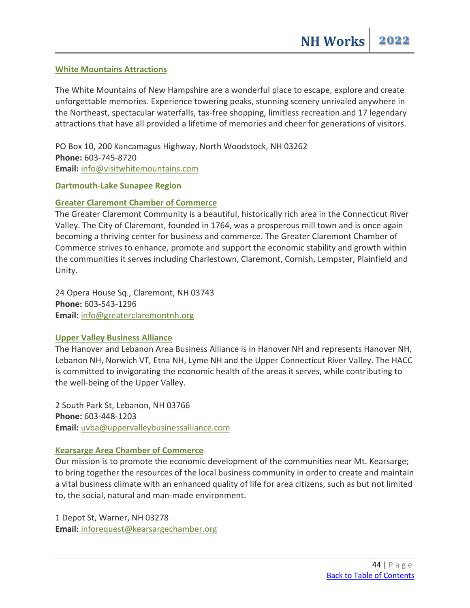#### **[White Mountains Attractions](http://www.visitwhitemountains.com/)**

The White Mountains of New Hampshire are a wonderful place to escape, explore and create unforgettable memories. Experience towering peaks, stunning scenery unrivaled anywhere in the Northeast, spectacular waterfalls, tax-free shopping, limitless recreation and 17 legendary attractions that have all provided a lifetime of memories and cheer for generations of visitors.

PO Box 10, 200 Kancamagus Highway, North Woodstock, NH 03262 **Phone:** 603-745-8720 **Email:** [info@visitwhitemountains.com](mailto:info@visitwhitemountains.com)

#### **Dartmouth-Lake Sunapee Region**

#### **[Greater Claremont Chamber of Commerce](https://greaterclaremontnh.org/)**

The Greater Claremont Community is a beautiful, historically rich area in the Connecticut River Valley. The City of Claremont, founded in 1764, was a prosperous mill town and is once again becoming a thriving center for business and commerce. The Greater Claremont Chamber of Commerce strives to enhance, promote and support the economic stability and growth within the communities it serves including Charlestown, Claremont, Cornish, Lempster, Plainfield and Unity.

24 Opera House Sq., Claremont, NH 03743 **Phone:** 603-543-1296 **Email:** [info@greaterclaremontnh.org](mailto:info@greaterclaremontnh.org)

#### **[Upper Valley Business Alliance](https://www.hanoverchamber.org/)**

The Hanover and Lebanon Area Business Alliance is in Hanover NH and represents Hanover NH, Lebanon NH, Norwich VT, Etna NH, Lyme NH and the Upper Connecticut River Valley. The HACC is committed to invigorating the economic health of the areas it serves, while contributing to the well-being of the Upper Valley.

2 South Park St, Lebanon, NH 03766 **Phone:** 603-448-1203 **Email:** [uvba@uppervalleybusinessalliance.com](mailto:uvba@uppervalleybusinessalliance.com)

#### **[Kearsarge Area Chamber of Commerce](https://kearsargechamber.org/)**

Our mission is to promote the economic development of the communities near Mt. Kearsarge; to bring together the resources of the local business community in order to create and maintain a vital business climate with an enhanced quality of life for area citizens, such as but not limited to, the social, natural and man-made environment.

1 Depot St, Warner, NH 03278 **Email:** [inforequest@kearsargechamber.org](mailto:inforequest@kearsargechamber.org)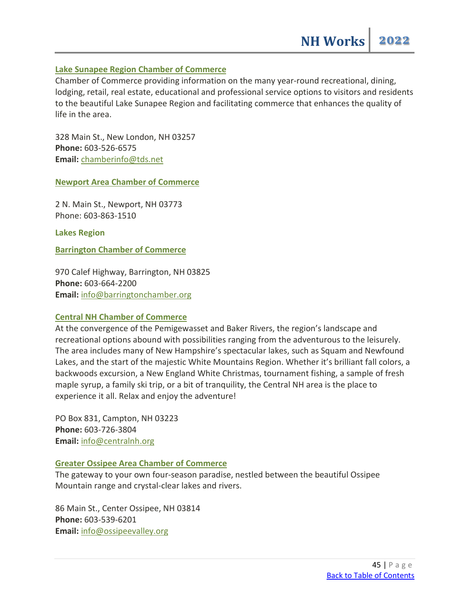#### **[Lake Sunapee Region Chamber of Commerce](http://lakesunapeeregionchamber.com/)**

Chamber of Commerce providing information on the many year-round recreational, dining, lodging, retail, real estate, educational and professional service options to visitors and residents to the beautiful Lake Sunapee Region and facilitating commerce that enhances the quality of life in the area.

328 Main St., New London, NH 03257 **Phone:** 603-526-6575 **Email:** [chamberinfo@tds.net](mailto:chamberinfo@tds.net)

**[Newport Area Chamber of Commerce](http://www.newportnhchamber.org/)**

2 N. Main St., Newport, NH 03773 Phone: 603-863-1510

**Lakes Region**

**[Barrington Chamber of Commerce](https://www.barringtonchamber.org/)**

970 Calef Highway, Barrington, NH 03825 **Phone:** 603-664-2200 **Email:** [info@barringtonchamber.org](mailto:info@barringtonchamber.org)

#### **[Central NH Chamber of Commerce](https://www.centralnh.org/)**

At the convergence of the Pemigewasset and Baker Rivers, the region's landscape and recreational options abound with possibilities ranging from the adventurous to the leisurely. The area includes many of New Hampshire's spectacular lakes, such as Squam and Newfound Lakes, and the start of the majestic White Mountains Region. Whether it's brilliant fall colors, a backwoods excursion, a New England White Christmas, tournament fishing, a sample of fresh maple syrup, a family ski trip, or a bit of tranquility, the Central NH area is the place to experience it all. Relax and enjoy the adventure!

PO Box 831, Campton, NH 03223 **Phone:** 603-726-3804 **Email:** [info@centralnh.org](mailto:info@centralnh.org)

#### **[Greater Ossipee Area Chamber of Commerce](https://www.ossipeevalley.org/)**

The gateway to your own four-season paradise, nestled between the beautiful Ossipee Mountain range and crystal-clear lakes and rivers.

86 Main St., Center Ossipee, NH 03814 **Phone:** 603-539-6201 **Email:** [info@ossipeevalley.org](mailto:info@ossipeevalley.org)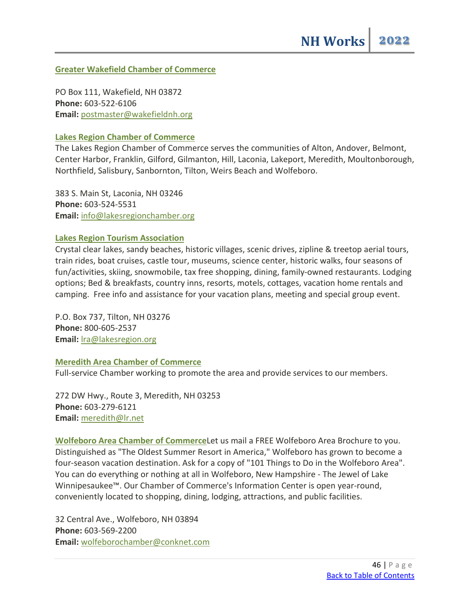#### **[Greater Wakefield Chamber of Commerce](http://greaterwakefieldchamber.org/)**

PO Box 111, Wakefield, NH 03872 **Phone:** 603-522-6106 **Email:** [postmaster@wakefieldnh.org](mailto:postmaster@wakefieldnh.org)

#### **[Lakes Region Chamber of Commerce](http://www.lakesregionchamber.org/)**

The Lakes Region Chamber of Commerce serves the communities of Alton, Andover, Belmont, Center Harbor, Franklin, Gilford, Gilmanton, Hill, Laconia, Lakeport, Meredith, Moultonborough, Northfield, Salisbury, Sanbornton, Tilton, Weirs Beach and Wolfeboro.

383 S. Main St, Laconia, NH 03246 **Phone:** 603-524-5531 **Email:** [info@lakesregionchamber.org](mailto:info@lakesregionchamber.org)

#### **[Lakes Region Tourism Association](http://www.lakesregion.org/)**

Crystal clear lakes, sandy beaches, historic villages, scenic drives, zipline & treetop aerial tours, train rides, boat cruises, castle tour, museums, science center, historic walks, four seasons of fun/activities, skiing, snowmobile, tax free shopping, dining, family-owned restaurants. Lodging options; Bed & breakfasts, country inns, resorts, motels, cottages, vacation home rentals and camping. Free info and assistance for your vacation plans, meeting and special group event.

P.O. Box 737, Tilton, NH 03276 **Phone:** 800-605-2537 **Email:** [lra@lakesregion.org](mailto:lra@lakesregion.org)

**[Meredith Area Chamber of Commerce](http://www.meredithareachamber.com/)** Full-service Chamber working to promote the area and provide services to our members.

272 DW Hwy., Route 3, Meredith, NH 03253 **Phone:** 603-279-6121 **Email:** [meredith@lr.net](mailto:meredith@lr.net)

**[Wolfeboro Area Chamber of Commerce](http://www.wolfeborochamber.com/)**Let us mail a FREE Wolfeboro Area Brochure to you. Distinguished as "The Oldest Summer Resort in America," Wolfeboro has grown to become a four-season vacation destination. Ask for a copy of "101 Things to Do in the Wolfeboro Area". You can do everything or nothing at all in Wolfeboro, New Hampshire - The Jewel of Lake Winnipesaukee™. Our Chamber of Commerce's Information Center is open year-round, conveniently located to shopping, dining, lodging, attractions, and public facilities.

32 Central Ave., Wolfeboro, NH 03894 **Phone:** 603-569-2200 **Email:** [wolfeborochamber@conknet.com](mailto:wolfeborochamber@conknet.com)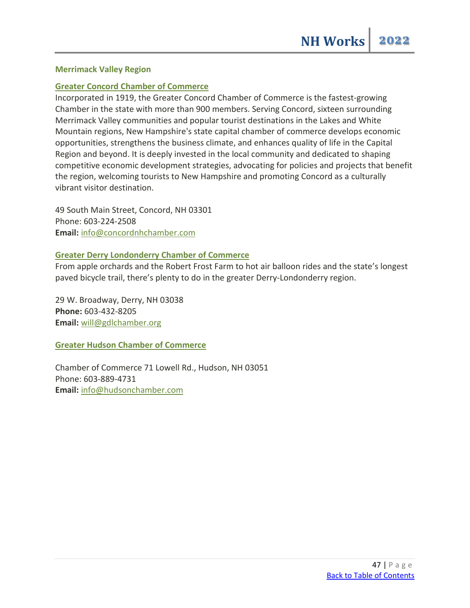#### **Merrimack Valley Region**

#### **[Greater Concord Chamber of Commerce](http://www.concordnhchamber.com/)**

Incorporated in 1919, the Greater Concord Chamber of Commerce is the fastest-growing Chamber in the state with more than 900 members. Serving Concord, sixteen surrounding Merrimack Valley communities and popular tourist destinations in the Lakes and White Mountain regions, New Hampshire's state capital chamber of commerce develops economic opportunities, strengthens the business climate, and enhances quality of life in the Capital Region and beyond. It is deeply invested in the local community and dedicated to shaping competitive economic development strategies, advocating for policies and projects that benefit the region, welcoming tourists to New Hampshire and promoting Concord as a culturally vibrant visitor destination.

49 South Main Street, Concord, NH 03301 Phone: 603-224-2508 **Email:** [info@concordnhchamber.com](mailto:info@concordnhchamber.com)

#### **[Greater Derry Londonderry Chamber of Commerce](http://www.gdlchamber.org/)**

From apple orchards and the Robert Frost Farm to hot air balloon rides and the state's longest paved bicycle trail, there's plenty to do in the greater Derry-Londonderry region.

29 W. Broadway, Derry, NH 03038 **Phone:** 603-432-8205 **Email:** [will@gdlchamber.org](mailto:will@gdlchamber.org)

**[Greater Hudson Chamber of Commerce](https://www.hudsonchamber.com/)**

Chamber of Commerce 71 Lowell Rd., Hudson, NH 03051 Phone: 603-889-4731 **Email:** [info@hudsonchamber.com](mailto:info@hudsonchamber.com)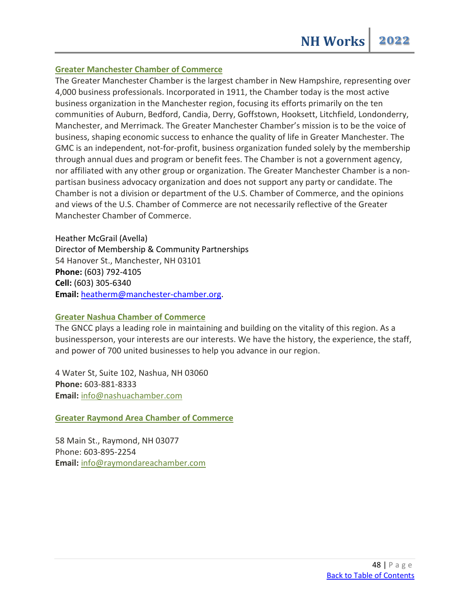#### **[Greater Manchester Chamber of Commerce](http://www.manchester-chamber.org/)**

The Greater Manchester Chamber is the largest chamber in New Hampshire, representing over 4,000 business professionals. Incorporated in 1911, the Chamber today is the most active business organization in the Manchester region, focusing its efforts primarily on the ten communities of Auburn, Bedford, Candia, Derry, Goffstown, Hooksett, Litchfield, Londonderry, Manchester, and Merrimack. The Greater Manchester Chamber's mission is to be the voice of business, shaping economic success to enhance the quality of life in Greater Manchester. The GMC is an independent, not-for-profit, business organization funded solely by the membership through annual dues and program or benefit fees. The Chamber is not a government agency, nor affiliated with any other group or organization. The Greater Manchester Chamber is a nonpartisan business advocacy organization and does not support any party or candidate. The Chamber is not a division or department of the U.S. Chamber of Commerce, and the opinions and views of the U.S. Chamber of Commerce are not necessarily reflective of the Greater Manchester Chamber of Commerce.

Heather McGrail (Avella) Director of Membership & Community Partnerships 54 Hanover St., Manchester, NH 03101 **Phone:** (603) 792-4105 **Cell:** (603) 305-6340 **Email:** [heatherm@manchester-chamber.org.](mailto:heatherm@manchester-chamber.org)

#### **[Greater Nashua Chamber of Commerce](http://www.nashuachamber.com/)**

The GNCC plays a leading role in maintaining and building on the vitality of this region. As a businessperson, your interests are our interests. We have the history, the experience, the staff, and power of 700 united businesses to help you advance in our region.

4 Water St, Suite 102, Nashua, NH 03060 **Phone:** 603-881-8333 **Email:** [info@nashuachamber.com](mailto:info@nashuachamber.com)

**[Greater Raymond Area Chamber of Commerce](http://www.raymondareachamberofcommerce.com/)**

58 Main St., Raymond, NH 03077 Phone: 603-895-2254 **Email:** [info@raymondareachamber.com](mailto:info@raymondareachamber.com)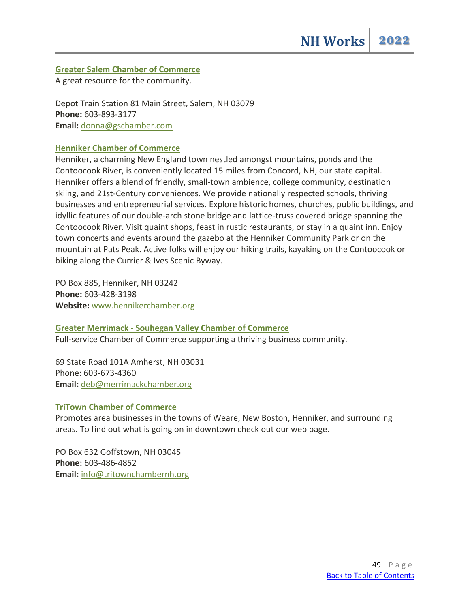#### **[Greater Salem Chamber of Commerce](http://www.gschamber.com/)**

A great resource for the community.

Depot Train Station 81 Main Street, Salem, NH 03079 **Phone:** 603-893-3177 **Email:** [donna@gschamber.com](mailto:donna@gschamber.com)

#### **[Henniker Chamber of Commerce](https://www.hennikerchamber.org/)**

Henniker, a charming New England town nestled amongst mountains, ponds and the Contoocook River, is conveniently located 15 miles from Concord, NH, our state capital. Henniker offers a blend of friendly, small-town ambience, college community, destination skiing, and 21st-Century conveniences. We provide nationally respected schools, thriving businesses and entrepreneurial services. Explore historic homes, churches, public buildings, and idyllic features of our double-arch stone bridge and lattice-truss covered bridge spanning the Contoocook River. Visit quaint shops, feast in rustic restaurants, or stay in a quaint inn. Enjoy town concerts and events around the gazebo at the Henniker Community Park or on the mountain at Pats Peak. Active folks will enjoy our hiking trails, kayaking on the Contoocook or biking along the Currier & Ives Scenic Byway.

PO Box 885, Henniker, NH 03242 **Phone:** 603-428-3198 **Website:** [www.hennikerchamber.org](http://www.hennikerchamber.org/)

#### **Greater Merrimack - [Souhegan Valley Chamber of Commerce](http://www.merrimackchamber.org/)**

Full-service Chamber of Commerce supporting a thriving business community.

69 State Road 101A Amherst, NH 03031 Phone: 603-673-4360 **Email:** [deb@merrimackchamber.org](mailto:wendy.hunt@gmsvcc.org)

#### **[TriTown Chamber of Commerce](https://tritownchambernh.org/)**

Promotes area businesses in the towns of Weare, New Boston, Henniker, and surrounding areas. To find out what is going on in downtown check out our web page.

PO Box 632 Goffstown, NH 03045 **Phone:** 603-486-4852 **Email:** [info@tritownchambernh.org](mailto:info@tritownchambernh.org)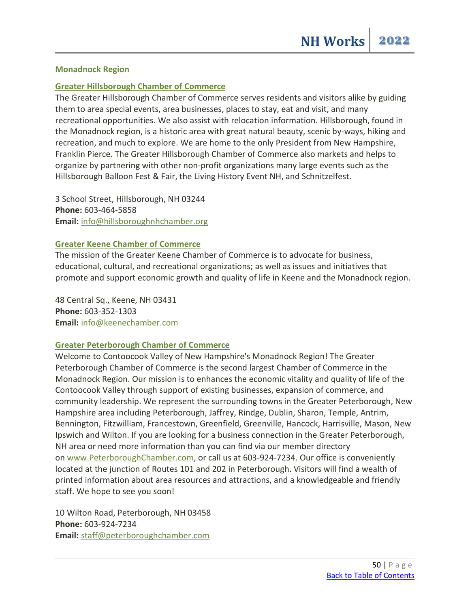#### **Monadnock Region**

#### **[Greater Hillsborough Chamber of Commerce](https://www.ghcocnh.org/)**

The Greater Hillsborough Chamber of Commerce serves residents and visitors alike by guiding them to area special events, area businesses, places to stay, eat and visit, and many recreational opportunities. We also assist with relocation information. Hillsborough, found in the Monadnock region, is a historic area with great natural beauty, scenic by-ways, hiking and recreation, and much to explore. We are home to the only President from New Hampshire, Franklin Pierce. The Greater Hillsborough Chamber of Commerce also markets and helps to organize by partnering with other non-profit organizations many large events such as the Hillsborough Balloon Fest & Fair, the Living History Event NH, and Schnitzelfest.

3 School Street, Hillsborough, NH 03244 **Phone:** 603-464-5858 **Email:** [info@hillsboroughnhchamber.org](mailto:info@hillsboroughnhchamber.org)

#### **[Greater Keene Chamber of Commerce](https://www.keenechamber.com/)**

The mission of the Greater Keene Chamber of Commerce is to advocate for business, educational, cultural, and recreational organizations; as well as issues and initiatives that promote and support economic growth and quality of life in Keene and the Monadnock region.

48 Central Sq., Keene, NH 03431 **Phone:** 603-352-1303 **Email:** [info@keenechamber.com](mailto:info@keenechamber.com)

#### **[Greater Peterborough Chamber of Commerce](http://www.peterboroughchamber.com/)**

Welcome to Contoocook Valley of New Hampshire's Monadnock Region! The Greater Peterborough Chamber of Commerce is the second largest Chamber of Commerce in the Monadnock Region. Our mission is to enhances the economic vitality and quality of life of the Contoocook Valley through support of existing businesses, expansion of commerce, and community leadership. We represent the surrounding towns in the Greater Peterborough, New Hampshire area including Peterborough, Jaffrey, Rindge, Dublin, Sharon, Temple, Antrim, Bennington, Fitzwilliam, Francestown, Greenfield, Greenville, Hancock, Harrisville, Mason, New Ipswich and Wilton. If you are looking for a business connection in the Greater Peterborough, NH area or need more information than you can find via our member directory on [www.PeterboroughChamber.com,](http://www.peterboroughchamber.com/) or call us at 603-924-7234. Our office is conveniently located at the junction of Routes 101 and 202 in Peterborough. Visitors will find a wealth of printed information about area resources and attractions, and a knowledgeable and friendly staff. We hope to see you soon!

10 Wilton Road, Peterborough, NH 03458 **Phone:** 603-924-7234 **Email:** [staff@peterboroughchamber.com](mailto:staff@peterboroughchamber.com)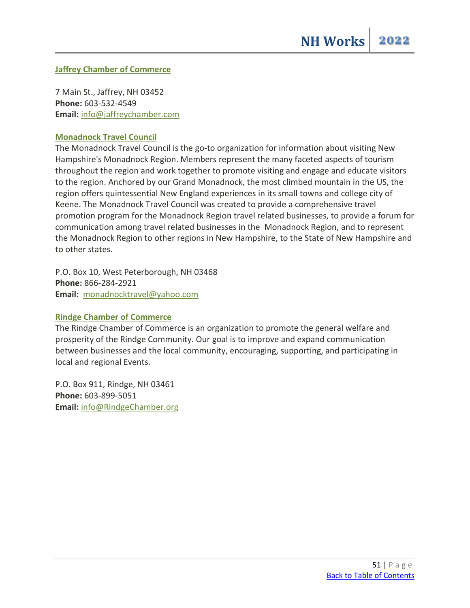#### **[Jaffrey Chamber of Commerce](http://www.jaffreychamber.com/)**

7 Main St., Jaffrey, NH 03452 **Phone:** 603-532-4549 **Email:** [info@jaffreychamber.com](mailto:info@jaffreychamber.com)

#### **[Monadnock Travel Council](http://www.monadnocktravel.com/)**

The Monadnock Travel Council is the go-to organization for information about visiting New Hampshire's Monadnock Region. Members represent the many faceted aspects of tourism throughout the region and work together to promote visiting and engage and educate visitors to the region. Anchored by our Grand Monadnock, the most climbed mountain in the US, the region offers quintessential New England experiences in its small towns and college city of Keene. The Monadnock Travel Council was created to provide a comprehensive travel promotion program for the Monadnock Region travel related businesses, to provide a forum for communication among travel related businesses in the Monadnock Region, and to represent the Monadnock Region to other regions in New Hampshire, to the State of New Hampshire and to other states.

P.O. Box 10, West Peterborough, NH 03468 **Phone:** 866-284-2921 **Email:** [monadnocktravel@yahoo.com](mailto:monadnocktravel@yahoo.com)

#### **[Rindge Chamber of Commerce](http://rindgechamber.org/)**

The Rindge Chamber of Commerce is an organization to promote the general welfare and prosperity of the Rindge Community. Our goal is to improve and expand communication between businesses and the local community, encouraging, supporting, and participating in local and regional Events.

P.O. Box 911, Rindge, NH 03461 **Phone:** 603-899-5051 **Email:** [info@RindgeChamber.org](mailto:info@RindgeChamber.org)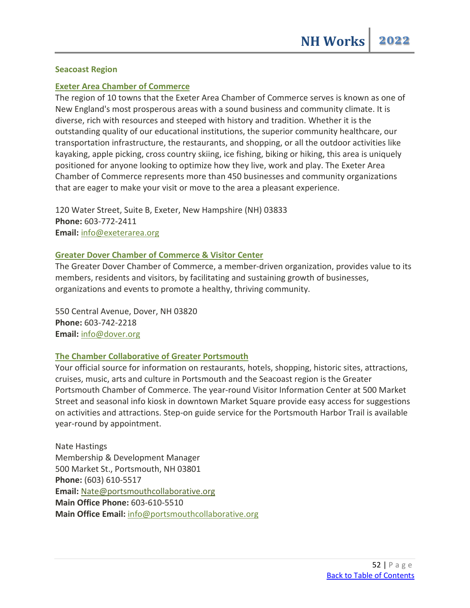#### **Seacoast Region**

#### **[Exeter Area Chamber of Commerce](http://www.exeterarea.org/)**

The region of 10 towns that the Exeter Area Chamber of Commerce serves is known as one of New England's most prosperous areas with a sound business and community climate. It is diverse, rich with resources and steeped with history and tradition. Whether it is the outstanding quality of our educational institutions, the superior community healthcare, our transportation infrastructure, the restaurants, and shopping, or all the outdoor activities like kayaking, apple picking, cross country skiing, ice fishing, biking or hiking, this area is uniquely positioned for anyone looking to optimize how they live, work and play. The Exeter Area Chamber of Commerce represents more than 450 businesses and community organizations that are eager to make your visit or move to the area a pleasant experience.

120 Water Street, Suite B, Exeter, New Hampshire (NH) 03833 **Phone:** 603-772-2411 **Email:** [info@exeterarea.org](mailto:info@exeterarea.org)

#### **[Greater Dover Chamber of Commerce & Visitor Center](http://www.dovernh.org/)**

The Greater Dover Chamber of Commerce, a member-driven organization, provides value to its members, residents and visitors, by facilitating and sustaining growth of businesses, organizations and events to promote a healthy, thriving community.

550 Central Avenue, Dover, NH 03820 **Phone:** 603-742-2218 **Email:** [info@dover.org](mailto:info@dover.org)

#### **[The Chamber Collaborative of Greater Portsmouth](https://portsmouthchamber.org/)**

Your official source for information on restaurants, hotels, shopping, historic sites, attractions, cruises, music, arts and culture in Portsmouth and the Seacoast region is the Greater Portsmouth Chamber of Commerce. The year-round Visitor Information Center at 500 Market Street and seasonal info kiosk in downtown Market Square provide easy access for suggestions on activities and attractions. Step-on guide service for the Portsmouth Harbor Trail is available year-round by appointment.

Nate Hastings Membership & Development Manager 500 Market St., Portsmouth, NH 03801 **Phone:** (603) 610-5517 **Email:** [Nate@portsmouthcollaborative.org](mailto:Nate@portsmouthcollaborative.org) **Main Office Phone:** 603-610-5510 **Main Office Email:** [info@portsmouthcollaborative.org](mailto:info@portsmouthcollaborative.org)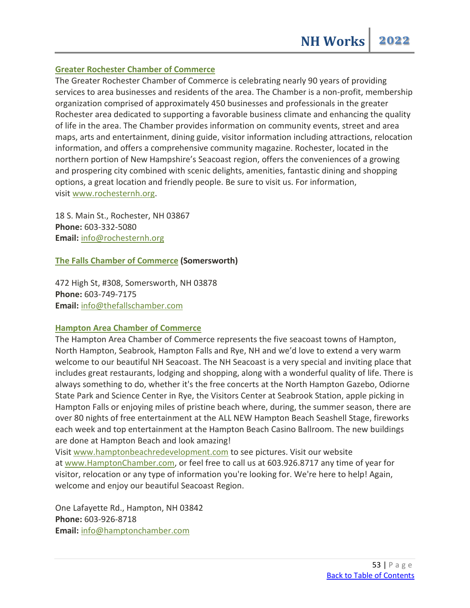#### **[Greater Rochester Chamber of Commerce](http://www.rochesternh.org/)**

The Greater Rochester Chamber of Commerce is celebrating nearly 90 years of providing services to area businesses and residents of the area. The Chamber is a non-profit, membership organization comprised of approximately 450 businesses and professionals in the greater Rochester area dedicated to supporting a favorable business climate and enhancing the quality of life in the area. The Chamber provides information on community events, street and area maps, arts and entertainment, dining guide, visitor information including attractions, relocation information, and offers a comprehensive community magazine. Rochester, located in the northern portion of New Hampshire's Seacoast region, offers the conveniences of a growing and prospering city combined with scenic delights, amenities, fantastic dining and shopping options, a great location and friendly people. Be sure to visit us. For information, visit [www.rochesternh.org.](http://www.rochesternh.org/)

18 S. Main St., Rochester, NH 03867 **Phone:** 603-332-5080 **Email:** [info@rochesternh.org](mailto:info@rochesternh.org)

**[The Falls Chamber of Commerce](http://thefallschamber.com/) (Somersworth)**

472 High St, #308, Somersworth, NH 03878 **Phone:** 603-749-7175 **Email:** [info@thefallschamber.com](mailto:info@thefallschamber.com)

#### **[Hampton Area Chamber of Commerce](http://www.hamptonchamber.com/)**

The Hampton Area Chamber of Commerce represents the five seacoast towns of Hampton, North Hampton, Seabrook, Hampton Falls and Rye, NH and we'd love to extend a very warm welcome to our beautiful NH Seacoast. The NH Seacoast is a very special and inviting place that includes great restaurants, lodging and shopping, along with a wonderful quality of life. There is always something to do, whether it's the free concerts at the North Hampton Gazebo, Odiorne State Park and Science Center in Rye, the Visitors Center at Seabrook Station, apple picking in Hampton Falls or enjoying miles of pristine beach where, during, the summer season, there are over 80 nights of free entertainment at the ALL NEW Hampton Beach Seashell Stage, fireworks each week and top entertainment at the Hampton Beach Casino Ballroom. The new buildings are done at Hampton Beach and look amazing!

Visit [www.hamptonbeachredevelopment.com](http://www.hamptonbeachredevelopment.com/) to see pictures. Visit our website at [www.HamptonChamber.com,](http://www.hamptonchamber.com/) or feel free to call us at 603.926.8717 any time of year for visitor, relocation or any type of information you're looking for. We're here to help! Again, welcome and enjoy our beautiful Seacoast Region.

One Lafayette Rd., Hampton, NH 03842 **Phone:** 603-926-8718 **Email:** [info@hamptonchamber.com](mailto:info@hamptonchamber.com)